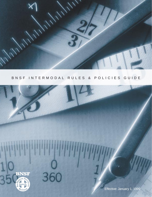

# [BNSF INTERMODAL RULES & POLICIES GUIDE](#page-1-0)

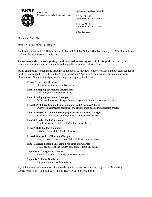<span id="page-1-0"></span>

Renita Lee Manager Intermodal Communications  $\vert$  P O Box 961056

**Burlington Northern Santa Fe**

Fort Worth TX 76161-0056

2650 Lou Menk Dr Fort Worth TX 76131-2830

1-888-428-2673

November 30, 1998

Dear BNSF Intermodal Customer:

[Enclosed is a revised BNSF Intermodal Rules and Policies Guide, effective January 1, 1999. This edition](#page-2-0) replaces the guide issued in July 1997.

# **Please return the enclosed postage paid postcard indicating receipt of this guide** to ensure you receive all future updates to the guide and any other important information.

Many changes have been made throughout the book. A few new items were added and the item sequence has been rearranged. In addition, the "Definitions" and "Appendix" sections have been enhanced for clarification. Some of the significant changes are highlighted below.

# **Item 4: Service Modification**

States applicability of modifying service

**Item 14: Shipping Instructions Information**

Revises layout for required elements

**Item 15: Shipping Instruction Changes**

Defines and separates changes for after in-gate and before loaded on a rail car

- **Item 24: Prohibited Commodities, Equipment and Associated Charges** Describes unauthorized equipment and commodities, and addresses related charges
- **Item 25: Restricted Commodities, Equipment and Associated Charges**
	- Expands requirements, adds equipment, and increases the charges
- **Item 36: Loaded Tank Containers**

Requires loads to be delivered with drop frame chassis

**Item 37: Bulk Bladder Shipments**

Clarifies responsibility for the shipments

**Item 44: Storage Free Time and Charges**

 $\cdot$  Increases storage charges from \$50 to \$100 for some locations

**Item 46: Driver Loading/Unloading Free Time and Charges** Raises driver assist and standby time charges from \$15 to \$20

# **Appendix B: Charges and Amounts**

Recaps charges and amounts; some were increased

# **Appendix C: Phone Numbers**

Lists numbers for handy reference

If you have any questions about the amended guide, please contact your Logistics or Marketing Representative at 1-888-428-2673 (1-888-IBU-BNSF) options, 2 or 3.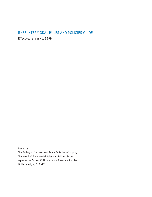# <span id="page-2-0"></span>[BNSF INTERMODAL RULES AND POLICIES GUIDE](#page-4-0)

*Effective: January 1, 1999*

Issued by:

The Burlington Northern and Santa Fe Railway Company. This new *BNSF Intermodal Rules and Policies Guide* replaces the former *BNSF Intermodal Rules and Policies Guide* dated July 1, 1997.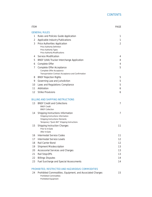<span id="page-4-0"></span>

| <b>ITEM</b>     |                                                                                                                                                          | <b>PAGE</b>    |
|-----------------|----------------------------------------------------------------------------------------------------------------------------------------------------------|----------------|
|                 | <b>GENERAL RULES</b>                                                                                                                                     |                |
| 1               | Rules and Policies Guide Application                                                                                                                     | 1              |
| 2               | Applicable Industry Publications                                                                                                                         | 1              |
| 3               | Price Authorities Application<br>Price Authority Definition<br>Price Authority Types<br><b>Price Authority Modifications</b>                             | $\overline{2}$ |
| 4               | Service Modification                                                                                                                                     | 4              |
| 5               | BNSF (UIIA) Trucker Interchange Application                                                                                                              | $\overline{4}$ |
| 6               | Complete Offer                                                                                                                                           | 4              |
| 7               | Complete Offer Acceptance<br>Complete Offer Acceptance<br>Transportation Contract Acceptance and Confirmation                                            | 5              |
| 8               | <b>BNSF Rejection Rights</b>                                                                                                                             | 5              |
| 9               | Governing Law and Jurisdiction                                                                                                                           | 5              |
| 10              | Laws and Regulations Compliance                                                                                                                          | 5              |
| 11              | Arbitration                                                                                                                                              | 6              |
| 12 <sup>2</sup> | <b>Strike Provisions</b>                                                                                                                                 | 6              |
|                 | <b>BILLING AND SHIPPING INSTRUCTIONS</b>                                                                                                                 |                |
| 13              | <b>BNSF Credit and Collections</b><br><b>BNSF Credit</b><br><b>BNSF Collection</b>                                                                       | 7              |
| 14              | Shipping Instructions Information<br>Shipping Instructions Information<br>Shipping Instructions Elements<br>Temporary "Quick Bill" Shipping Instructions | 7              |
| 15              | <b>Shipping Instruction Changes</b><br>Prior to In-Gate<br>After In-Gate                                                                                 | 11             |
|                 | 16 Intermodal Service Codes                                                                                                                              | 11             |
| 17              | Intermodal Service Levels                                                                                                                                | 12             |
| 18              | Rail Carrier Bond                                                                                                                                        | 12             |
| 19              | <b>Shipment Misdescription</b>                                                                                                                           | 13             |
| 20              | Accessorial Services and Charges                                                                                                                         | 13             |
| 21              | Rail Stop-Offs                                                                                                                                           | 13             |
| 22              | <b>Billings Disputes</b>                                                                                                                                 | 14             |
| 23              | Fuel Surcharge and Special Assessments                                                                                                                   | 14             |
|                 | PROHIBITED, RESTRICTED AND HAZARDOUS COMMODITIES                                                                                                         |                |
| 24              | Prohibited Commodities, Equipment, and Associated Charges<br>Prohibited Commodities                                                                      | 15             |

[Prohibited Equipment](#page-22-0)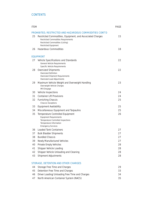# **[CONTENTS](#page-4-0)**

| <b>ITEM</b> |                                                                                                                                                                            | <b>PAGE</b> |
|-------------|----------------------------------------------------------------------------------------------------------------------------------------------------------------------------|-------------|
|             | PROHIBITED, RESTRICTED AND HAZARDOUS COMMODITIES CONT'D                                                                                                                    |             |
| 25          | Restricted Commodities, Equipment, and Associated Charges<br><b>Restricted Commodities Requirements</b><br>Restricted Commodities (Listing)<br><b>Restricted Equipment</b> | 15          |
| 26          | Hazardous Commodities                                                                                                                                                      | 18          |
|             | <b>EQUIPMENT</b>                                                                                                                                                           |             |
| 27          | Vehicle Specifications and Standards                                                                                                                                       | 22          |
|             | General Vehicle Requirements<br>Specific Vehicle Requirements                                                                                                              |             |
| 28          | <b>Oversized Shipments</b>                                                                                                                                                 | 22          |
|             | Oversized Definition<br>Oversized Shipment Requirements<br>Oversized Load Adjustments                                                                                      |             |
| 29          | Maximum Vehicle Weight and Overweight Handling<br>Overweight Vehicle Charges<br><b>IMX Drayage</b>                                                                         | 23          |
| 30          | Vehicle Inspections                                                                                                                                                        | 24          |
| 31          | <b>Container Lift Provisions</b>                                                                                                                                           | 24          |
| 32          | <b>Furnishing Chassis</b><br><b>Chassis Exceptions</b>                                                                                                                     | 25          |
| 33          | <b>Equipment Availability</b>                                                                                                                                              | 25          |
| 34          | Miscellaneous Equipment and Tarpaulins                                                                                                                                     | 25          |
| 35          | Temperature Controlled Equipment<br><b>Equipment Requirements</b><br>Temperature Controlled Inspections<br>Temperature Information<br><b>Emergency Services</b>            | 26          |
| 36          | <b>Loaded Tank Containers</b>                                                                                                                                              | 27          |
| 37          | <b>Bulk Bladder Shipments</b>                                                                                                                                              | 27          |
| 38          | <b>Bundled Chassis</b>                                                                                                                                                     | 27          |
| 39          | Newly Manufactured Vehicles                                                                                                                                                | 27          |
| 40          | <b>Private Empty Vehicles</b>                                                                                                                                              | 28          |
| 41          | Shipper Vehicle Loading                                                                                                                                                    | 28          |
| 42          | Shipper Vehicle Unloading and Cleaning                                                                                                                                     | 28          |
| 43          | Shipment Adjustments                                                                                                                                                       | 28          |
|             | <b>STORAGE, DETENTION AND OTHER CHARGES</b>                                                                                                                                |             |
| 44          | Storage Free Time and Charges                                                                                                                                              | 29          |
| 45          | Detention Free Time and Charges                                                                                                                                            | 33          |
| 46          | Driver Loading/Unloading Free Time and Charges                                                                                                                             | 34          |

[47 North American Container System \(NACS\) 35](#page-42-0)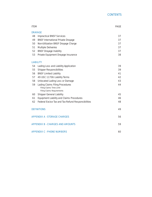| <b>ITEM</b> |                                                                       | <b>PAGE</b> |
|-------------|-----------------------------------------------------------------------|-------------|
|             | <b>DRAYAGE</b>                                                        |             |
| 48          | <b>Impractical BNSF Services</b>                                      | 37          |
| 49          | <b>BNSF International Private Drayage</b>                             | 37          |
| 50          | Non-Utilization BNSF Drayage Charge                                   | 37          |
| 51          | Multiple Deliveries                                                   | 37          |
| 52          | <b>BNSF Drayage Inability</b>                                         | 37          |
| 53          | Private Equipment Drayage Insurance                                   | 38          |
|             | <b>LIABILITY</b>                                                      |             |
| 54          | Lading Loss and Liability Application                                 | 39          |
| 55          | <b>Shipper Responsibilities</b>                                       | 39          |
| 56          | <b>BNSF Limited Liability</b>                                         | 41          |
| 57          | 49 USC 11706 Liability Terms                                          | 42          |
| 58          | Unlocated Lading Loss or Damage                                       | 43          |
| 59          | Lading Claims Filing Procedures                                       | 44          |
|             | Filing Claims Time Limit                                              |             |
| 60          | <b>Filing Claims Requirements</b><br><b>Shipper General Liability</b> | 45          |
| 61          | Equipment Liability and Claims Procedures                             | 46          |
| 62          | Federal Excise Tax and Tax Refund Responsibilities                    | 48          |
|             |                                                                       |             |
|             | <b>DEFINITIONS</b>                                                    | 49          |
|             | <b>APPENDIX A - STORAGE CHARGES</b>                                   | 56          |
|             | <b>APPENDIX B - CHARGES AND AMOUNTS</b>                               | 59          |
|             | <b>APPENDIX C - PHONE NUMBERS</b>                                     | 60          |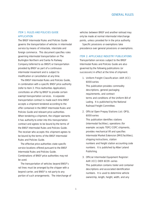# <span id="page-8-0"></span>ITEM 1: RULES AND POLICIES GUIDE APPLICATION

The *BNSF Intermodal Rules and Policies Guide* governs the transportation of vehicles in intermodal service by means of intrastate, interstate and foreign commerce. This document specifies rules governing intermodal transportation on The Burlington Northern and Santa Fe Railway Company (referred to as BNSF) or transportation provided by BNSF as part of a continuous intermodal movement and is subject to modification or cancellation at any time.

The *BNSF Intermodal Rules and Policies Guide,* in combination with a specific BNSF price authority (refer to Item 3: Price Authorities Application), constitutes an offer by BNSF to provide certain exempt transportation services. A separate transportation contract is made each time BNSF accepts a shipment tendered according to the offer contained in the *BNSF Intermodal Rules and Policies Guide* and relevant price authorities. When tendering a shipment, the shipper warrants it has authority to enter into this transportation contract and agrees to be bound by the terms of the *BNSF Intermodal Rules and Policies Guide*. The receiver who accepts this shipment agrees to be bound by the terms of the *BNSF Intermodal Rules and Policies Guide*.

The effective price authorities state specific service locations offered pursuant to the *BNSF Intermodal Rules and Policies Guide*. Combinations of BNSF price authorities may not be used.

The transportation of vehicles beyond BNSF's rail lines must be arranged by the shipper with a beyond carrier, and BNSF is not party to any portion of such arrangements. The interchange of vehicles between BNSF and another railroad may only be made at normal intermodal interchange points, unless provided for in the price authority.

Specific provisions or exemptions take precedence over general provisions or exemptions.

### ITEM 2: APPLICABLE INDUSTRY PUBLICATIONS

Transportation services subject to the *BNSF Intermodal Rules and Policies Guide* are also governed by the following publications (or successors) in effect at the time of shipment.

1. Uniform Freight Classification: AAR (ICC) 6000-series

This publication provides commodity descriptions, general packaging requirements, and contract terms and conditions of the Uniform Bill of Lading. It is published by the National Railroad Freight Committee.

# 2. Official Open Prepay Stations List: OPSL 6000-series

This publication identifies stations (intermodal facilities), operations (for example: accepts TOFC/COFC shipments, provides mechanical lift and specifies Intermodal Market Extension [IMX] facilities), shipping instructions, station numbers and freight station accounting code numbers. It is published by Alber Leland Publishing.

# 3. Official Intermodal Equipment Register: AAR (ICC) OIER 6039-series

This publication contains trailer and container descriptions and associated identification numbers. It is used to determine vehicle ownership, length, height, width, and any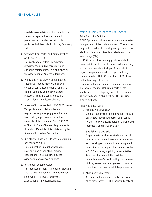<span id="page-9-0"></span>special characteristics such as mechanical, insulation, special load securement, protective service, devices, etc. It is published by Intermodal Publishing Company, Ltd.

# 4. Standard Transportation Commodity Code: AAR (ICC) STCC 6001

This publication contains commodity descriptions, including hazardous and explosive commodities. It is published by the Association of American Railroads.

### 5. M 930 and M 931: AAR Specifications

These publications identify trailer and container construction requirements and define standards and recommended practices. They are published by the Association of American Railroads.

# 6. Bureau of Explosives Tariff: BOE 6000-series This publication contains rules and regulations for packaging, placarding and transporting explosive and hazardous

materials. It is a reprint of Parts 171-180 of Title 49: Code of Federal Regulations for Hazardous Materials. It is published by the Bureau of Explosives Publications.

# 7. Directory of Hazardous Materials Shipping Descriptions No. 3

This publication is a list of hazardous materials and associated shipping descriptions. It is published by the Association of American Railroads.

### 8. Intermodal Loading Guide

This publication identifies loading, blocking and bracing requirements for intermodal shipments. It is published by the Association of American Railroads.

# ITEM 3: PRICE AUTHORITIES APPLICATION

### Price Authority Definition

A BNSF price authority states a rate or set of rates for a particular intermodal shipment. These rates may be transmitted to the shipper by printed copy, electronic facsimile, diskette or electronic data interchange (EDI).

BNSF price authorities apply only for stated origin and destination points named in the authority without intermediate rail stops. Transportation beyond any points named in the price authority does not involve BNSF. Combinations of BNSF price authorities may not be used.

A price authority is not a shipping instruction. The price authority establishes certain rate levels, whereas, a shipping instruction allows a shipper to tender a shipment to BNSF utilizing a price authority.

### Price Authority Types

### 1. Freight, All Kinds (FAK)

General rate levels offered to various types of customers (domestic/international, contract holders/non-contract holders) for transporting intermodal shipments on BNSF.

### 2. Special Price Quotation

A special rate level negotiated for a specific intermodal shipment based on certain factors such as shipper, commodity and equipment type. Special price quotations are issued by a BNSF Marketing or pricing representative. Any special price quotations will be immediately confirmed in writing. In the event of disagreement concerning an oral quotation, the written confirmation will take precedence.

### 3. Multi-party Agreements

A contractual arrangement between any or all of these parties – BNSF, shipper, beneficial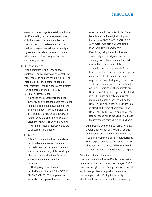<span id="page-10-0"></span>owner or shipper's agents – established by a BNSF Marketing or pricing representative. Only the prices or price authorities that are attached to or make reference to a multi-party agreement will apply. Multi-party agreements include all transportation and price contracts, tri-party agreements and ancillary agreements.

#### 4. Direct or Interline

Price authorities (FAKs, special price quotations, or multi-party agreements) state if the rates can be used for direct (BNSF) or interline (BNSF and another railroad(s)) transportation. Interline price authority rates can be either joint-line or Rule 11.

a. *Joint-line (through rate)* 

A joint-line price authority is one price authority, applying to the entire movement from rail origin to rail destination on two or more railroads. The rate includes all interchange charges unless otherwise noted. Send the shipping instructions ONLY TO THE ORIGIN CARRIER, who will forward the shipping instructions to the other carriers in the route.

## b. *Rule 11*

A Rule 11 price authority or rate allows traffic to be interchanged from one railroad to another using each carrier's specific price authority. It is the shipper who combines each railroad's price authority to create an interline movement.

All shipping instructions for this traffic must be sent ONLY TO THE ORIGIN CARRIER. The origin carrier forwards all shipping information to the other carriers in the route. Rule 11 must be indicated on the original shipping instructions ALONG WITH EACH PRICE AUTHORITY FOR THE RAIL CARRIERS INVOLVED IN THE MOVEMENT. Even though all price authorities are stated only on the origin railroad's shipping instructions, each railroad will invoice the shipper separately.

In addition, the intermediate (crosstown) notify party and the final notify party along with both phone numbers are required on Rule 11 shipping instructions.

A cross-town transfer is not included on Rule 11 shipments that originate on BNSF. Rule 11 must be specifically stated in a BNSF price authority and if is not indicated, the rate assessed will be the BNSF FAK published interline (joint-line) rate in effect at the time of shipment. If no BNSF FAK interline rate is applicable, the rate assessed will be the BNSF FAK rate to the interchange point, plus a \$500 charge.

Other interline arrangements such as Voluntary Coordination Agreements (VCAs), haulage agreements, or trackage right alliances are methods to market and price on other railroads. These agreements typically appear as BNSF direct for rates and routes (with BNSF incurring the crosstown and other railroad's charges.)

#### Price Authority Modifications

Unless a price authority specifically states that a rate level or other term cannot be changed, BNSF reserves the right to modify any pricing authority at any time regardless of expiration date shown on the pricing authority. Each price authority is effective until expired, cancelled, or reissued by a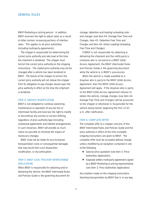<span id="page-11-0"></span>BNSF Marketing or pricing person. In addition, BNSF reserves the right to adjust rates as a result of other carriers increasing portions of interline rates. This applies to all price authorities (including multi-party agreements).

The shipper is responsible for determining the correct price authority and rate level at the time the shipment is tendered. The shipper must furnish the correct price authority on the shipping instructions. The stated price authority may not be changed after a vehicle has been tendered to BNSF. The failure of the shipper to furnish the correct price authority will not relieve the shipper from its obligation to pay charges based upon the price authority in effect at the time the shipment is tendered.

### ITEM 4: SERVICE MODIFICATION

BNSF is not obligated to continue ownership, maintenance or operation of any rail line or intermodal facility and reserves the right to modify or discontinue any service or service offering, regardless of price authority type (including contractual agreements and interline arrangements). In such instances, BNSF will provide as much notice as possible to minimize the impact of necessary changes.

BNSF shall not be liable for any increased transportation costs or consequential damages that may result from such disposition, modification, or discontinuation.

# ITEM 5: BNSF (UIIA) TRUCKER INTERCHANGE APPLICATION

When BNSF is responsible for obtaining and/or delivering the vehicle, the *BNSF Intermodal Rules and Policies Guide* is the governing document for

storage, detention and loading/unloading rules and charges (see Item 44: Storage Free Time and Charges, Item 45: Detention Free Time and Charges and Item 46: Driver Loading/Unloading Free Time and Charges).

If BNSF is not responsible for obtaining or delivering the shipment and the notify party is someone who is not party to a BNSF (UIIA) Access Agreement, the *BNSF Intermodal Rules and Policies Guide* is the governing document while the vehicle is in BNSF's possession.

When the vehicle is made available to a drayman who is party to the BNSF (UIIA) Access Agreement, then the BNSF (UIIA) Access Agreement will apply. If the drayman who is party to the BNSF (UIIA) Access Agreement refuses to obtain the vehicle, storage charges (see Item 44: Storage Free Time and Charges) will be assessed to the shipper or whomever is responsible for the vehicle being stored, beginning the first 12:01 a.m. after notification.

#### ITEM 6: COMPLETE OFFER

The complete offer to a shipper consists of this *BNSF Intermodal Rules and Policies Guide* and the price authority in effect at the time complete shipping instructions are given to BNSF. The complete offer must be accepted without change unless modified by an exception contained in one of the following:

- Special price quotation (see Item 3: Price Authorities Application).
- Separate written multi-party agreement signed by a BNSF Marketing or pricing representative (see Item 3: Price Authorities Application).

Any notation made on the shipping instructions directing transportation by BNSF that is in any way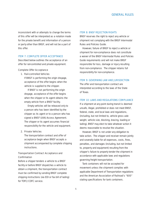<span id="page-12-0"></span>inconsistent with or attempts to change the terms of this offer will be interpreted as a notation made for the private benefit and information of a person or party other than BNSF, and will not be a part of this offer.

# ITEM 7: COMPLETE OFFER ACCEPTANCE

Described below outlines the acceptance of an offer for rail-controlled and private equipment.

### Complete Offer Acceptance

## 1. Rail-controlled Vehicles

If BNSF is performing the origin drayage, acceptance of the offer begins when the vehicle is supplied to the shipper.

If BNSF is not performing the origin drayage, acceptance of the offer begins when the shipper or its agent obtains the empty vehicle from a BNSF facility.

Empty vehicles will be released only to a person who has been identified by the shipper as its agent or to a person who has signed a BNSF (UIIA) Access Agreement. The shipper or its agent assumes financial responsibility for the vehicle and equipment.

### 2. Private Vehicles

The transportation contract and offer of acceptance begin when BNSF accepts a shipment accompanied by complete shipping instructions.

# Transportation Contract Acceptance and **Confirmation**

Before a shipper tenders a vehicle to a BNSF facility or before BNSF dispatches a vehicle to obtain a shipment, the transportation contract must be confirmed by sending BNSF complete shipping instructions (via EDI or fax bill of lading) for TOFC/COFC service.

### ITEM 8: BNSF REJECTION RIGHTS

BNSF reserves the right to reject any vehicle or shipment not complying with the *BNSF Intermodal Rules and Policies Guide*.

However, failure of BNSF to reject a vehicle or shipment for non-compliance does not constitute a waiver of the *BNSF Intermodal Rules and Policies Guide* requirements and will not make BNSF responsible for loss, damage or injury resulting from non-compliance. The shipper retains full responsibility for non-compliance.

### ITEM 9: GOVERNING LAW AND JURISDICTION

The offer and transportation contract are interpreted according to the laws of the State of Texas.

### ITEM 10: LAWS AND REGULATIONS COMPLIANCE

If a shipment at any point during transit is deemed unsafe, illegal, prohibited or does not meet BNSF, federal, state, and local laws and regulations, (including, but not limited to, vehicle gross axle weight, vehicle size, blocking, bracing, loading or lading), BNSF may elect to take whatever action it deems reasonable to resolve the situation.

However, BNSF is not under any obligation to take action. The shipper and receiver remain jointly and severally liable for all expenses, costs, fines, penalties, and damages (including, but not limited to, property and equipment) resulting from the shipper's failure to properly tender the shipment in accordance with applicable laws and regulations governing freight transportation.

Tank containers will not be accepted for movement unless the shipment complies with applicable Department of Transportation regulations and the American Association of Railroad's "600" stating specifications for tank containers.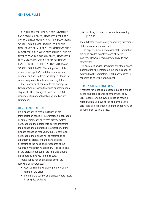<span id="page-13-0"></span>THE SHIPPER WILL DEFEND AND INDEMNIFY BNSF FROM ALL FINES, ATTORNEY'S FEES AND COSTS ARISING FROM THE FAILURE TO CONFORM TO APPLICABLE LAWS, REGARDLESS OF THE NEGLIGENCE OR ALLEGED NEGLIGENCE OF BNSF IN DETECTING THE NON-CONFORMANCE. BNSF IS NOT RESPONSIBLE FOR ANY FINES, ATTORNEY'S FEES AND COSTS ARISING FROM FAILURE OF BNSF TO DETECT SHIPPER NON-CONFORMANCE TO APPLICABLE LAWS. The shipper will, at its expense, accept BNSF's defense in any claim, action or suit arising from the shipper's failure of conforming to applicable laws and regulations.

The shipper must conform to the Carriage of Goods at Sea Act when tendering an international shipment. The Carriage of Goods at Sea Act identifies international packaging and liability limitations.

# ITEM 11: ARBITRATION

If a dispute arises regarding terms of the transportation contract, interpretation, application, or enforcement, any party may provide written notification to the appropriate parties indicating the dispute should proceed to arbitration. If the dispute cannot be resolved within 30 days after notification, the dispute will be referred to an arbitrator (or arbitrator panel) and decided according to the rules and procedures of the American Arbitration Association. The decisions of the arbitrator (or panel) are final and binding on all parties involved in the dispute.

Arbitration is not an option for any of the following circumstances:

- Questioning the validity or propriety of any terms of the offer.
- Inquiring the validity or propriety of rate levels in any price authority.

■ Involving disputes for amounts exceeding \$25,000.

The arbitrator cannot modify or void any provisions of the transportation contract.

The expenses, fees and costs of the arbitration are to be divided equally among all parties involved. However, each party will pay its own attorney fees.

In any court having jurisdiction over the dispute, judgment may be entered on the findings and/or awarded by the arbitrators. Each party expressly consents to this type of judgment.

#### ITEM 12: STRIKE PROVISIONS

A request for relief from charges due to a strike by the shipper's agents or employees, or by BNSF agents or employees, must be made in writing within 15 days of the end of the strike. BNSF has sole discretion to grant or deny any or all relief from such charges.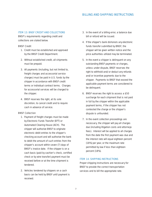# BILLING AND SHIPPING INSTRUCTIONS

#### <span id="page-14-0"></span>ITEM 13: BNSE CREDIT AND COLLECTIONS

BNSF's requirements regarding credit and collections are stated below.

#### BNSF Credit

- 1. Credit must be established and approved by the BNSF Credit Department.
- 2. Without established credit, all shipments must be prepaid.
- 3. All payments (including, but not limited to, freight charges and accessorial service charges) must be paid in U.S. funds by the shipper in accordance with BNSF credit terms or individual contract terms. Charges for accessorial services will be charged to the shipper.
- 4. BNSF reserves the right, at its sole discretion, to cancel credit and to require cash in advance of service.

### BNSF Collection

- 1. Payment of freight charges must be made by Electronic Funds Transfer (EFT) or Automated Clearing House (ACH). The shipper will authorize BNSF to originate electronic debit entries to the shipper's checking account and will authorize the bank to debit the amount of such entries from the shipper's account within seven (7) days of BNSF's invoice date. If the shipper is on a cash basis (paid by cashier's check, certified check or by wire transfer) payment must be received before or at the time shipment is tendered.
- 2. Vehicles tendered by shippers on a cash basis can be held by BNSF until payment is received.
- 3. In the event of a billing error, a balance due bill or refund will be issued.
- 4. If the shipper's bank dishonors any electronic funds transfer submitted by BNSF, the shipper will be given written notice and the price authorities utilized may be terminated.
- 5. In the event a shipper is delinquent on any outstanding BNSF payments or charges, unless under dispute, BNSF reserves the right to withhold and/or deduct any refunds and/or incentive payments due to the shipper. Payments to BNSF that exceed the applicable payment terms are considered to be delinquent.
- 6. BNSF reserves the right to assess a \$50 surcharge for each shipment that is not paid in full by the shipper within the applicable payment terms, if the shipper has not contested the charge or the shipper's dispute is unfounded.
- 7. In the event collection proceedings are necessary, the shipper will pay all charges due (including litigation costs and attorneys fees). Interest will be applied to all charges from the date the first payment was due and the interest rate will equal eighteen percent (18%) per year, or the maximum rate permitted by law if less than eighteen percent (18%).

### ITEM 14: SHIPPING INSTRUCTIONS

Proper shipping instructions are necessary for BNSF to provide the correct transportation services and to bill the appropriate rate.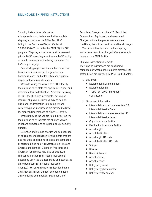#### <span id="page-15-0"></span>Shipping Instructions Information

All shipments must be tendered with complete shipping instructions (via EDI or fax bill of lading to the Centralized Waybill Center at 1-800-786-2455) or under the BNSF "Quick Bill" program. Shipping instructions must be received prior to BNSF accepting a vehicle at a BNSF facility or prior to an empty vehicle being dispatched for BNSF origin drayage.

Submit shipping instructions at least one hour before a vehicle arrives at the gate for nonhazardous loads, and at least two hours prior to in-gate for hazardous shipments.

When delivering the vehicle to a BNSF facility, the drayman must state the applicable shipper and intermodal facility destination. Shipments arriving at BNSF facilities with incomplete, missing or incorrect shipping instructions may be held at origin and/or destination until complete and correct shipping instructions are provided to BNSF (by proper billing methods of either EDI or fax).

When retrieving the vehicle from a BNSF facility, the drayman must indicate the shipper, vehicle initial and number, and assigned pick up (security) number.

Detention and storage charges will be assessed at origin and/or destination for shipments that are delayed while shipping instructions are completed or corrected (see Item 44: Storage Free Time and Charges and Item 45: Detention Free Time and Charges). Shipments may also be subject to charges when changing shipping instructions, depending upon the changes made and associated timing (see Item 15: Shipping Instruction Changes). For any shipment misdescribed (Item 19: Shipment Misdescription) or tendered (Item 24: Prohibited Commodities, Equipment, and

Associated Charges and Item 25: Restricted Commodities, Equipment, and Associated Charges) without the proper information or conditions, the shipper can incur additional charges.

The price authority stated on the shipping instructions cannot be changed after a vehicle is tendered to a BNSF facility.

### Shipping Instructions Elements

The shipping instructions are considered complete only when all the required elements (■) stated below are provided to BNSF (via EDI or fax).

- 1. Equipment
	- Equipment initial and number
	- Equipment length
	- "TOFC" or "COFC" movement classification

#### 2. Movement Information

- Intermodal service code (see Item 16: Intermodal Service Codes)
- Intermodal service level (see Item 17: Intermodal Service Levels)
- Origin intermodal facility
- Destination intermodal facility
- Actual origin
- Actual destination
- Actual origin ZIP code
- Actual destination ZIP code
- **Shipper**
- Receiver
- **Beneficial owner**
- Actual shipper
- Actual receiver
- Notify party name
- Notify party phone number
- Notify party fax number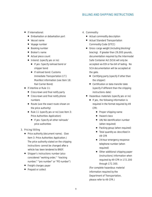# BILLING AND SHIPPING INSTRUCTIONS

- If international:
	- Embarkation or debarkation port
	- Vessel name
	- Voyage number
	- Booking number
	- Broker's name
	- Actual piece count
	- In-bond: (specify yes or no)
		- If yes: Specify railroad bond or shipper bond
		- If railroad bond: Customs Immediate Transportation (I.T.) Manifest information (see Item 18: Rail Carrier Bond)
- If interline or Rule 11:
	- Cross-town and final notify party
	- Cross-town and final notify phone numbers
	- Route (use the exact route shown on the price authority)
	- Rule 11 (specify yes or no) (see Item 3: Price Authorities Application)
		- If yes: Specify all other railroads' price authorities

### 3. Pricing/Billing

- Price authority (document name). (See Item 3: Price Authorities Application.) The price authority stated on the shipping instructions cannot be changed after a vehicle has been tendered to BNSF.
- Shipper's instructions number (also considered "working order," "tracking number," "pro number" or "PO number")
- Freight charges payor
- Prepaid or collect

### 4. Commodity

- Actual commodity description
- Actual Standard Transportation Commodity Code (STCC)
- Gross cargo weight (including blocking/ bracing). If greater than 29,000 pounds, documentation required by the Intermodal Safe Container Act (SCA) will only be accepted via EDI or fax bill of lading. No SCA documentation will be accepted at the gate.
	- Certifying party (specify if other than the shipper)
	- Certification or data transfer date (specify if different than the shipping instructions date)
- Hazardous materials (specify yes or no)
	- If yes, the following information is required in the format required by 49 CFR:
		- Proper shipping name
		- Hazard class
		- UN/NA identification number (when required)
		- Packing group (when required)
		- Total quantity as described in 49 CFR
		- 24-hour emergency response telephone number (when required)
		- Other additional shipping paper (instructions) information when required by 49 CFR in 172.200 through 172.300.

(For complete hazardous material information required by the Department of Transportation, please refer to 49 CFR.)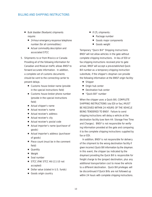# <span id="page-17-0"></span>BILLING AND SHIPPING INSTRUCTIONS

- Bulk bladder (flexitank) shipments require:
	- 24-hour emergency response telephone number (for all commodities)
	- Actual commodity description and associated STCC

# 5. Shipments to or from Mexico or Canada

- Providing all of the following information for Canadian and Mexican traffic allows BNSF to forward accurate information. In addition, a complete set of customs documents should be sent to the connecting carrier to prevent delays.
	- Customs house broker name (provide in the special instructions field)
	- Customs house broker phone number (provide in the special instructions field)
	- Actual shipper's name
	- Actual receiver's name
	- Actual receiver's address
	- Actual receiver's city
	- Actual receiver's postal code
	- Actual importer's name (purchaser of goods)
	- Actual importer's address (purchaser of goods)
	- Piece count (must be in the comment field)
	- Quantity
	- Weight
	- Seal number
	- STCC (FAK STCC 46-111-10 not accepted)
	- Dollar value (stated in U.S. funds)
	- Goods origin country
- If LTL shipments:
	- Package number
	- Goods major components
	- Goods weight

### Temporary "Quick Bill" Shipping Instructions

BNSF will not allow vehicles in the gate without complete shipping instructions. In lieu of EDI or fax shipping instructions received prior to gate arrival, BNSF will accept a pre-established Quick Bill number as a temporary shipping instruction substitute, if the shipper's drayman can provide the following information at the BNSF origin facility:

- Shipper
- Origin hub center
- Destination hub center
- "Quick Bill" number

When the shipper uses a Quick Bill, COMPLETE SHIPPING INSTRUCTIONS (via EDI or fax,) MUST BE RECEIVED WITHIN 24 HOURS OF THE VEHICLE BEING TENDERED TO BNSF. Failure to send shipping instructions will delay a vehicle at the destination facility (see Item 44: Storage Free Time and Charges). BNSF is not responsible for verifying information provided at the gate and comparing it to the complete shipping instructions supplied by fax or EDI.

In addition, BNSF is not responsible for delivery of the shipment to the wrong destination facility if given incorrect Quick Bill information by the drayman. In this event, the shipper (as indicated by the drayman) providing the Quick Bill is responsible for freight charge to the (proper) destination, plus any additional transportation cost to move the vehicle to a different destination. Quick Bill privileges will be discontinued if Quick Bills are not followed up within 24 hours with complete shipping instructions.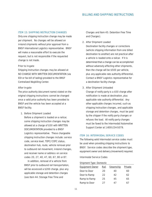### <span id="page-18-0"></span>ITEM 15: SHIPPING INSTRUCTION CHANGES

Only one shipping instruction change may be made per shipment. No changes will be allowed on in-bond shipments without prior approval from a BNSF International Logistics representative. BNSF will make a reasonable effort to execute the request, but is not responsible if the requested change is not made.

### Prior to In-gate

Shipping instruction changes may be allowed at NO CHARGE WITH WRITTEN DOCUMENTATION (via EDI or fax bill of lading) provided to the BNSF Centralized Waybilling Center.

### After In-gate

The price authority (document name) stated on the original shipping instructions cannot be changed once a valid price authority has been provided to BNSF and the vehicle has been accepted at a BNSF facility.

### 1. Before Shipment Loaded

Before a shipment is loaded on a railcar, some shipping instruction changes may be allowed at a charge of \$50 with WRITTEN DOCUMENTATION provided to a BNSF Logistics representative. These chargeable shipping instruction changes include: service code, service level, TOFC/COFC status, destination hub, route, vehicle removal prior to outbound rail movement, in-bond changes, and receiver name or address on service codes 20, 27, 40, 47, 60, 67, 80 or 87.

In addition, removal of a vehicle from BNSF prior to outbound rail transportation, will be assessed a \$200 charge, plus any applicable storage and detention charges (see Item 44: Storage Free Time and

Charges and Item 45: Detention Free Time and Charges).

### 2. After Shipment Loaded

Destination facility changes or corrections (vehicle shipping information from one billed destination to another) are not practical after a vehicle is loaded onto a railcar. If it is determined that a change can be accomplished without adversely affecting other shipments, then the charge will be \$500 per vehicle, plus any applicable rate authority differential. Contact a BNSF Logistics representative for a destination facility change.

### 3. After Shipment Unloaded

Change of notify party is a \$50 charge after notification is made at destination, plus applicable rate authority differential. Any other applicable charges incurred, such as shipping instruction changes, and applicable storage and detention charges, must be paid by the shipper if the notify party changes or refuses the load. All notify party changes must be faxed to the Intermodal/Automotive Support Center at 1-800-234-5079.

## ITEM 16: INTERMODAL SERVICE CODES

The following valid Intermodal service codes must be used when providing shipping instructions to BNSF. Service codes describe the shipment type, equipment owner and delivery (movement) required.

#### Intermodal Service Codes

#### *Shipment Type: Domestic*

| <b>Equipment Owner</b> | Rail | <b>Steamship</b> | Private |
|------------------------|------|------------------|---------|
| Door to Door           | 20   | 40               | 60      |
| Door to Ramp           | 22   | 42               | 62      |
| Ramp to Ramp           | 25   | 45               | 65      |
| Ramp to Door           | 27   | 41               | 61      |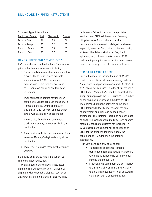# <span id="page-19-0"></span>BILLING AND SHIPPING INSTRUCTIONS

#### *Shipment Type: International*

| <b>Equipment Owner</b> | Rail | <b>Steamship</b> | Private |
|------------------------|------|------------------|---------|
| Door to Door           | 20   | 80               | 60      |
| Door to Ramp           | 22   | 82               | 62      |
| Ramp to Ramp           | 25   | 85               | 65      |
| Ramp to Door           | 27   | 87               | 61      |

### ITEM 17: INTERMODAL SERVICE LEVELS

BNSF provides service level options (with various price authorities and schedules) including:

- G For extremely time-sensitive shipments, this provides the fastest service available (competitive with 900-mile-per-day over-the-road, team driver service) and has seven days per week availability at destination.
- P Truck-competitive service for trailers or containers supplies premium train-service (comparable with 500-mile-per-day or single-driver truck service) and has seven days a week availability at destination.
- D Train service for trailers or containers provides seven days a week availability at destination.
- R Train service for trailers or containers offers weekday (Monday-Friday) availability at the destination.
- Y Train service supplies movement for empty vehicles.

Schedules and service levels are subject to change without notification.

When a specific service level is not noted on the pricing authority, BNSF will transport a shipment with reasonable dispatch but not on any particular train or schedule. BNSF will not be liable for failure to perform transportation services, and BNSF will be excused from any obligation to perform such service when performance is prevented or delayed, in whole or in part, by an act of God, civil or military authority, strike or other labor disturbance, fire, flood, epidemic, war, riot, earthquake, wreck, BNSF and/or shipper equipment or facilities mechanical breakdown, or any other catastrophic influence.

#### ITEM 18: RAIL CARRIER BOND

Price authorities can include the use of BNSF's bond on international shipments moving under an "immediate transportation manifest (I.T.) entry". A \$125 charge will be assessed to the shipper to use a BNSF bond. When a BNSF bond is requested, the shipper must provide the U.S. Customs I.T. number on the shipping instructions submitted to BNSF. The original I.T. must be delivered to the origin BNSF Intermodal facility prior to, or at the time of, movement on all railroad bonded import shipments. The container initial and number must be on the I.T. when tendered to BNSF for signature before proceeding to customs for execution. A \$200 charge per shipment will be assessed by BNSF for the shipper's failure to supply the container and I.T. number on the shipping instructions.

BNSF's bond can only be used for:

- Transloaded shipments (contents transloaded from one vehicle to another), when the transloading is performed at a bonded warehouse; OR
- Shipments delivered from the port facility to a BNSF facility or from a BNSF facility to the actual destination (prior to customs clearance) with a bonded drayman.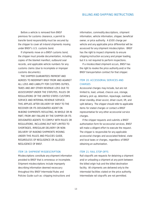### BILLING AND SHIPPING INSTRUCTIONS

<span id="page-20-0"></span>Before a vehicle is removed from BNSF premises for customs clearance, a permit to transfer bond responsibility must be secured by the shipper to cover all in-bond shipments moving under BNSF's U.S. customs bond.

If shipments move on a BNSF customs bond, the shipper must provide documentation, including copies of the blanket manifest, outbound seal records, and applicable vehicle numbers for any customs claims (due to incomplete or improper customs documents).

THE SHIPPER GUARANTEES PAYMENT AND AGREES TO INDEMNIFY BNSF FROM AND AGAINST ALL LOSS AND LIABILITY FOR CUSTOMS DUTIES, TAXES AND ANY OTHER REVENUE LOSS DUE TO ASSESSMENT UNDER THE STATUTES, RULES OR REGULATIONS OF THE UNITED STATES CUSTOMS SERVICE AND INTERNAL REVENUE SERVICE. THIS APPLIES AFTER DELIVERY BY BNSF TO THE RECEIVER OR ITS DESIGNATED AGENT ON IN-BOND SHIPMENTS RESULTING, IN WHOLE OR IN PART, FROM ANY FAILURE BY THE SHIPPER OR ITS DESIGNATED AGENTS TO COMPLY WITH RULES OR REGULATIONS, INCLUDING BUT NOT LIMITED TO SHORTAGES, IRREGULAR DELIVERY OR NON-DELIVERY OF IN-BOND SHIPMENTS MOVING UNDER THIS RULES AND POLICIES GUIDE, REGARDLESS OF NEGLIGENCE OR ALLEGED NEGLIGENCE OF BNSF.

### ITEM 19: SHIPMENT MISDESCRIPTION

Misdescriptions constitute any shipment information provided to BNSF that is erroneous or incomplete. Shipment misdescriptions include improperly describing information deemed necessary throughout this *BNSF Intermodal Rules and Policies Guide* such as: shipping instructions and

information, commodity descriptions, shipment information, vehicle information, shipper, beneficial owner, or price authority. A \$500 charge per vehicle and any applicable price differential will be assessed for any shipment misdescription. BNSF has the right to inspect shipments to ensure shipping instruction accuracy and proper loading, but it is not required to perform inspections.

If a misdescribed shipment occurs, BNSF has the right to revoke the price authority and/or the BNSF transportation contract for that shipper.

# ITEM 20: ACCESSORIAL SERVICES AND **CHARGES**

Accessorial charges may include, but are not limited to, load, unload, chassis use, storage, delivery, pick up, detention, repackage, overload, driver standby, driver assist, driver count, lift, and split delivery. The shipper should refer to applicable items for stated charges or contact a BNSF representative for any other accessorial service charges.

If the shipper requests and submits a BNSF authorization form for accessorial services, BNSF will make a diligent effort to execute the request. The shipper is responsible for any applicable accessorial charges and associated federal, state and local taxes or charges, regardless of BNSF obtaining an authorization.

### ITEM 21: RAIL STOP-OFFS

Rail stop-offs are requests for detaining a shipment and/or unloading a shipment at any point between the billed origin hub and the billed destination facility. All shipments are delivered only to the intermodal facilities stated on the price authority. Intermediate rail stop-offs are not permitted.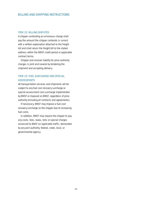### <span id="page-21-0"></span>ITEM 22: BILLING DISPUTES

A shipper contending an erroneous charge shall pay the amount the shipper contends is correct with a written explanation attached to the freight bill and shall return the freight bill to the stated address within the BNSF credit period or applicable contract terms.

Shipper and receiver liability for price authority charges is joint and several by tendering the shipment and accepting delivery.

# ITEM 23: FUEL SURCHARGE AND SPECIAL **ASSESSMENTS**

All transportation services and shipments will be subject to any fuel cost recovery surcharge or special assessment cost surcharge implemented by BNSF or imposed on BNSF, regardless of price authority (including all contracts and agreements).

If necessary, BNSF may impose a fuel cost recovery surcharge on the shipper due to increasing fuel costs.

In addition, BNSF may require the shipper to pay any costs, fees, taxes, tolls or special charges assessed to BNSF on applicable traffic, demanded by any port authority, federal, state, local, or governmental agency.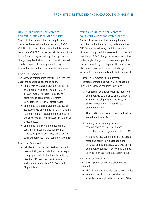# <span id="page-22-0"></span>ITEM 24: PROHIBITED COMMODITIES, EQUIPMENT, AND ASSOCIATED CHARGES

The prohibited commodities and equipment described below will not be accepted by BNSF. Violation of any condition covered in this item will result in a \$10,000 charge per vehicle, in addition to the freight charges and any other applicable charges payable by the shipper. The shipper will also be responsible for any and all charges incurred to recondition rail-controlled equipment.

### Prohibited Commodities

The following commodities may NOT be tendered under the conditions described below.

- Shipments containing Division 1.1, 1.2, 1.3, or 1.4 explosives as defined in 49 CFR 173.50 (Code of Federal Regulations pertaining to explosives) to or from Galveston, TX, via BNSF direct routes.
- Shipments containing Division 1.1, 1.2 or 1.3 explosives as defined in 49 CFR 173.50 (Code of Federal Regulations pertaining to explosives) to or from Houston, TX, via BNSF direct routes.
- Shipments in rail-controlled equipment containing carbon blacks, dump carts, trailers, wagons, hide, pelts, skins, or any other animal product with contaminating odor.

### Prohibited Equipment

■ Vehicles that cannot be lifted by standard means (lifting arms, twist-locks, or side-pins or any approved lift attachments on-hand). (See Item 27: Vehicle Specifications and Standards and Item 28: Oversized Shipments.)

# ITEM 25: RESTRICTED COMMODITIES, EQUIPMENT, AND ASSOCIATED CHARGES

The restricted commodities and equipment described in this item can only be tendered to BNSF when the following conditions are met. Violation of any condition covered in this item will result in a \$5,000 charge per vehicle, in addition to the freight charges and any other applicable charges payable by the shipper. The shipper will also be responsible for any and all charges incurred to recondition rail-controlled equipment.

### Restricted Commodities Requirements

Restricted commodities may NOT be tendered unless the following conditions are met.

- 1. A special price authority for the restricted commodity is established and provided to BNSF on the shipping instructions, that allows movement of the restricted commodity; AND
- 2. The conditions or restrictions noted below are adhered to; AND
- 3. Loading patterns and procedures recommended by BNSF's Damage Prevention Services group are utilized; AND
- 4. All shipping instructions declare the actual restricted commodity description and accurate applicable STCC. Any type of FAK commodity description or FAK STCC is not allowed for these restricted commodities.

# Restricted Commodities

The following commodities are classified as restricted.

- Air-flight training aids, devices, or electronics
- Ammunition. This must be billed in accordance to applicable provisions of the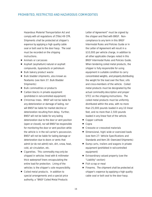Hazardous Material Transportation Act and comply with all regulations of (Title) 49 CFR. Shipments shall be protected at shipper's expense by applying a high quality cable seal or bolt seal to the door hasp. The seal must be recorded on the shipping instructions.

- Animals or carcasses
- Asphalt (asphaltum) natural or asphalt compounds, by-products or petroleum
- Bulk bakery product waste
- Bulk bladder shipments, also known as flexitanks (see Item 37: Bulk Bladder Shipments)
- Bulk commodities or products
- Carbon blacks in private equipment (prohibited in rail-controlled equipment)
- Christmas trees. BNSF will not be liable for any deterioration or damage of lading, nor will BNSF be liable for market decline or deterioration resulting from delay. Further, BNSF will not be liable for any lading deterioration due to the door or vent position (open or closed), nor will BNSF be responsible for monitoring the door or vent position while the vehicle is in the rail carrier's possession. BNSF will not be liable for lading damage or deterioration due to doors or vents that admit (or do not admit) rain, dirt, snow, heat, cold, air circulation, etc.
- Cigarettes. This commodity may only be shipped in vehicles lined with 6 millimeter thick waterproof liners encapsulating the entire load for protection. Lining of the vehicles is the shipper's sole responsibility.
- Coiled metal products. In addition to special arrangements and a special price authority, a "BNSF Coiled Metal Products

Letter of Agreement" must be signed by the shipper and filed with BNSF. Noncompliance to any term in this *BNSF Intermodal Rules and Policies Guide* or in the Letter of Agreement will result in a \$10,000 per vehicle charge, in addition to all other applicable charges noted in this *BNSF Intermodal Rules and Policies Guide*. When tendering coiled metal products, the shipper is fully responsible for using equipment in suitable condition to carry concentrated weights, and properly distributing the weight for the load over the floor, sills and cross-members of the vehicle. Coiled metal products must be designated by the actual commodity description and proper STCC on the shipping instructions. The coiled metal products must be uniformly distributed within the area, with no more than 25,000 pounds loaded in any 10 linear feet, and no more than 2,500 pounds loaded in any linear foot of the vehicle.

- Copper cathode
- **Copra**
- Creosote or creosoted materials
- Dimensional, high/wide or oversized loads (see Item 27: Vehicle Specifications and Standards and Item 28: Oversized Shipments)
- Dump carts, trailers and wagons in private equipment (prohibited in rail-controlled equipment)
- Extraordinary valued property (see the "Liability" section)
- Fish scrap or meal
- Firearms. The shipment shall be protected at shipper's expense by applying a high quality cable seal or bolt seal to the door hasp.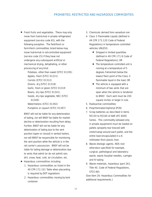■ Fresh fruits and vegetables. These may only move from hub-to-hub in private refrigerated equipment (service code 65), with the following exception. The field-fresh or farm-fresh commodities listed below may move hub-to-hub in rail-controlled equipment (service code 25) if they have not undergone any subsequent artificial or mechanical drying, dehydrating, or other processing of any kind:

> Potatoes, other than sweet (STCC 01195) Apples, fresh (STCC 01221) Carrots (STCC 01312) Onions, dry (STCC 01318) Garlic, fresh or green (STCC 01319 Beans, dry ripe (STCC 01341) Seeds, dry ripe vegetable, NEC (STCC 01349) Watermelons (STCC 01392) Pumpkins or squash (STCC 01397)

BNSF will not be liable for any deterioration of lading, nor will BNSF be liable for market decline or deterioration resulting from delay. Further, BNSF will not be liable for any deterioration of lading due to the vent position (open or closed) in vented trailers, nor will BNSF be responsible for monitoring the vent position while the vehicle is in the rail carrier's possession. BNSF will not be liable for lading damage or deterioration due to vents that admit (or do not admit) rain, dirt, snow, heat, cold, air circulation, etc.

- Hazardous commodities including:
	- 1. Hazardous commodities as listed in the 49 CFR 172.101 Table when placarding is required by DOT regulations
	- 2. Hazardous commodities moving by tank container
- 3. Chemicals derived from vanadium ore
- 4. Class 3 Flammable Liquids (defined in 49 CFR 173.120 Code of Federal Regulations) in temperature controlled vehicles UNLESS:
	- Shipped in limited quantities (defined in 49 CFR 171.8 Code of Federal Regulations); OR
	- The temperature controlled unit is running at a temperature of 5 degrees Fahrenheit below the lowest flash point of the Class 3 flammable liquid in the load; OR
	- The vehicle is equipped with a minimum of two vents that are open when the vehicle is tendered to BNSF. Each vent must be 200 square inches or larger in size.
- 5. Radioactive commodities
- 6. Polychlorinated biphenyl (PCB)
- 7. Scrap batteries as described in items 95150 to 95160 of AAR UFC 6000 Series. This commodity (allowed only in private equipment) must be loaded on pallets (properly rear braced) with stretch-wrap around each pallet, and the entire load encapsulated in a 6 millimeter thick plastic liner.
- 8. Waste etiologic agents, NOS (not otherwise specified) for example, surgical, pathological and laboratory waste, waste hospital needles, syringes and IV tubing
- 9. Waste materials, hazardous (part 261, Title 40, Code of Federal Regulations, STCC-48)

(See Item 26: Hazardous Commodities for additional requirements.)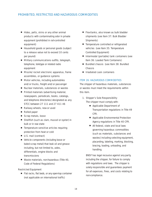- <span id="page-25-0"></span>■ Hides, pelts, skins or any other animal products with contaminating odor in private equipment (prohibited in rail-controlled equipment)
- Household goods or personal goods (subject to a release value not to exceed 10 cents per pound)
- Military communications outfits, telegraph, telephone, teletype or related radio equipment
- Missile/rocket electronic apparatus, frame assemblies, or guidance systems
- Motor vehicles, including automobiles and/or trucks, freight and/or passenger
- Nuclear materials, substances or wastes
- Printed materials (advertising material, newspapers, periodicals, books, catalogs, and telephone directories) designated as any STCC between 27 111 and 27 411 46
- Railway wheels, new or used
- Rolled paper
- Scrap metals, loose
- Shellfish (such as clam, mussel or oyster) in bulk or in raw state
- Temperature sensitive articles requiring protection from heat or cold
- U.S. mail (contract)
- Vehicle components (including loose or baled scrap metal) that leak oil and grease including, but not limited to, axles, differentials, engine blocks and transmissions
- Waste materials, non-hazardous (Title 40, Code of Federal Regulations)

### Restricted Equipment

■ Flat racks, flat beds, or any open-top container (not applicable on international traffic)

- Flexitanks, also known as bulk bladder shipments (see Item 37: Bulk Bladder Shipments)
- Temperature controlled or refrigerated vehicles (see Item 35: Temperature Controlled Equipment)
- Intermodal (portable) tank containers (see Item 36: Loaded Tank Containers)
- Bundled chassis (see Item 38: Bundled Chassis
- Irradiated cask containers

### ITEM 26: HAZARDOUS COMMODITIES

The shipper of hazardous materials, substances or wastes must meet the requirements within this item.

1. Shipper's Sole Responsibility

The shipper must comply with:

- Applicable Department of Transportation regulations in Title 49 CFR.
- Applicable Environmental Protection Agency regulations in Title 40 CFR.
- All federal, state and local laws governing hazardous commodities (such as materials, substances and wastes) including selecting equipment, placarding, labeling, marking, blocking, bracing, loading, unloading, and handling.

BNSF has legal recourse against any party, including the shipper, for failure to comply with regulations and laws. The shipper is solely responsible and guarantees payment for all expenses, fines, and costs relating to non-compliance.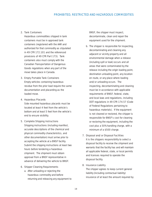### 2. Tank Containers

Hazardous commodities shipped in tank containers must be in approved tank containers (registered with the AAR and authorized for that commodity as stipulated in 49 CFR 172.101 and the referenced provisions of 49 CFR Part 173). Tank containers also must comply with the Canadian Transportation of Dangerous Goods regulations when any part of the move takes place in Canada.

### 3. Empty Portable Tank Containers

Empty vehicles containing hazardous residue from the prior load require the same documentation and placarding as the loaded move.

### 4. Hazardous Placards

Side mounted hazardous placards must be located at least 4 feet from the vehicle's bottom and at least 5 feet from the vehicle's end to ensure visibility.

#### 5. Complete Shipping Instructions

Shipping instructions (including manifest, accurate descriptions of the chemical and physical commodity characteristics, and other documentation) must arrive prior to accepting the vehicle at a BNSF facility. Submit the shipping instructions at least two hours before tendering a hazardous shipment. The shipment must obtain approval from a BNSF representative in advance of delivering the vehicle to BNSF.

### 6. Shipper Cleaning Requirements

a. After unloading or rejecting the hazardous commodity and before returning and releasing any equipment to

BNSF, the shipper must inspect, decontaminate, clean and repair the equipment used for the shipment.

**b.** The shipper is responsible for inspecting, decontaminating and cleaning any adjacent or vicinity property and all environmental damage when a release (including spill or leak) occurs and all areas that were contaminated by the release including the origin loading point, destination unloading point, any location en route, or any place where loading and/or unloading occurs. The inspecting, decontaminating and cleaning must be in accordance with applicable requirements of BNSF, federal, state, and local laws and regulations, including DOT regulations in 49 CFR 174.57 (Code of Federal Regulations pertaining to hazardous materials). If the equipment is not cleaned or restored, the shipper is responsible for BNSF's cost for cleaning or restoring the equipment, including the cost plus a 50% handling charge, with a minimum of a \$500 charge.

### 7. Disposal and/or Disposal Facilities

It is the shippers responsibility to select a disposal facility to receive the shipment and warrants that the facility has and will maintain all applicable federal, state, or local permits and licenses required to operate the disposal facility.

### 8. Insurance Liability

The shipper agrees to keep current general liability (including contractual liability) insurance of at least the amount required by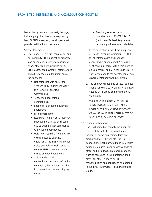law for bodily injury and property damage, including any other insurance required by law. At BNSF's request, the shipper must provide certification of insurance.

### 9. Shipper Indemnity

- a. The shipper is solely responsible for and will indemnify BNSF against all property loss or damage, injury, death, incident, or any other liability, including fines, BNSF costs, late payments, attorney fees and all expenses resulting from any of the following:
	- Not complying with any of the sections (1-12) addressed within this Item 26: Hazardous Commodities.
	- Tendering unacceptable commodities.
	- Loading or unloading equipment improperly.
	- Billing improperly.
	- Resulting from any spill, response, mitigation, clean up, or disposal due to shipper's non-compliance with outlined obligations.
	- Utilizing or resulting from privately owned or leased defective equipment. *The BNSF Intermodal Rules and Policies Guide* does not commit BNSF to accept privately owned or leased equipment.
	- Shipping chemicals or contaminants (or traces of) in the commodity that are not described in commodities' proper shipping name.
- Resulting expenses from compliance with 49 CFR 174.16 (b) (Code of Federal Regulations pertaining to hazardous materials).
- b. In the case of an incident the shipper will: (1) pay for clean up, or reimburse BNSF for all related costs and expenses addressed in subparagraph 9a. plus a 50% handling charge, with a minimum of a \$500 charge, and (2) clean up to BNSF's satisfaction and to the satisfaction of any governmental body with jurisdiction.
- c. The shipper will assume all legal defense against any third party claims for damage caused by failure to comply with these obligations.
- d. THE RESPONSIBILITIES OUTLINED IN SUBPARAGRAPH 9 (A-C) WILL APPLY REGARDLESS OF ANY NEGLIGENT ACT OR OMISSION IF BNSF CONTRIBUTES TO SUCH LOSS, DAMAGE OR COST.

# 10. Incident Notification

BNSF will immediately notify the shipper in the event the vehicle is involved in an incident or hazardous commodities are discharged while the vehicle is in BNSF's possession. Each party will take immediate action as required under applicable federal, state, and local laws, rules or regulations. Nothing contained in this paragraph shall alter either the shipper's or BNSF's responsibilities and obligations as outlined in this *BNSF Intermodal Rules and Policies Guide*.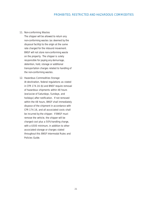### 11. Non-conforming Wastes

The shipper will be allowed to return any non-conforming wastes (as deemed by the disposal facility) to the origin at the same rate charged for the inbound movement. BNSF will not store non-conforming waste on the property. The shipper is solely responsible for paying any demurrage, detention, hold, storage or additional transportation charges related to handling of the non-conforming wastes.

### 12. Hazardous Commodities Storage

At destination, federal regulations as stated in CFR 174.16 (b) and BNSF require removal of hazardous shipments within 48 hours (exclusive of Saturdays, Sundays, and holidays) after notification. If not removed within the 48 hours, BNSF shall immediately dispose of the shipment in accordance with CFR 174.16, and all associated costs shall be incurred by the shipper. If BNSF must remove the vehicle, the shipper will be charged cost plus a 50% handling charge, with a \$500 minimum, in addition to other associated storage or charges stated throughout this *BNSF Intermodal Rules and Policies Guide*.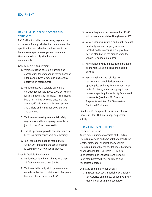# <span id="page-29-0"></span>ITEM 27: VEHICLE SPECIFICATIONS AND **STANDARDS**

BNSF will not provide concessions, payments, or movements for any vehicles that do not meet the specifications and standards addressed in this item, unless special arrangements are made. Vehicles must comply with the stated requirements.

### General Vehicle Requirements

- 1. Vehicle must be of suitable design and construction for standard lift-device handling (lifting arms, twist-locks, side-pins, or any approved lift attachment).
- 2. Vehicle must be a suitable design and construction for safe TOFC/COFC service on railcars, streets and highways. This includes, but is not limited to, compliance with the AAR Specifications M 931 for TOFC service and trailers and M 930 for COFC service and containers.
- 3. Vehicle must meet governmental safety regulations and licensing requirements in jurisdictions of vehicle operation.
- 4. The shipper must provide necessary vehicle licensing, either permanent or temporary.
- 5. Tank containers must be marked with "AAR 600", indicating the tank container is compliant with AAR specifications.

### Specific Vehicle Requirements

- 1. Vehicle body length must be no less than 19 feet and no more than 53 feet.
- 2. Vehicle outside body width (measure from outside wall of tire to outside wall of opposite tire) must be no more than 8'6".
- 3. Vehicle height cannot be more than 13'6" with a maximum suitable lifting height of 9'6".
- 4. Vehicle identifying initials and numbers must be clearly marked, properly sized and located, so the markings are legible by a person standing on the ground when the vehicle is loaded on a railcar.
- 5. Any enclosed vehicle must have tight fitting doors with suitable locking and sealing devices.
- 6. Tank containers and vehicles with temperature control devices require a special price authority for movement. Flat racks, flat beds, and open-top equipment require a special price authority for domestic movements (see Item 28: Oversized Shipments and Item 35: Temperature Controlled Equipment).

(See Item 61: Equipment Liability and Claims Procedures for BNSF and shipper equipment liability.)

# ITEM 28: OVERSIZED SHIPMENTS

### Oversized Definition

An oversized shipment consists of the lading (including blocking and bracing) that exceeds the length, width, and/or height of any vehicle (including, but not limited to, flat beds, flat racks, or open-top loads). (See Item 27: Vehicle Specifications and Standards and Item 25: Restricted Commodities, Equipment, and Associated Charges).

### Oversized Shipment Requirements

1. Shipper must use a special price authority for oversized shipments, issued by a BNSF Marketing or pricing representative.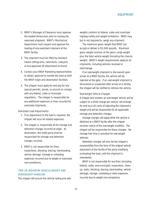- <span id="page-30-0"></span>2. BNSF's Manager of Clearance must approve the loaded dimensions prior to moving the oversized shipment. BNSF's Mechanical Department must inspect and approve the loading of any oversized shipment at the BNSF facility.
- 3. The shipment must be lifted by standard means (lifting arms, twist-locks, side-pins, or any approved lift attachment on-hand).
- 4. Contact your BNSF Marketing representative to obtain approval to handle the load at both the BNSF origin and destination facilities.
- 5. The shipper must apply for and pay for any special permits, bonds, or escorts to comply with any federal, state or municipal regulations. The shipper is responsible for any additional expenses or fines incurred for oversized shipments.

#### Oversized Load Adjustments

- 1. If an adjustment to the load is required, the shipper will incur all related expenses.
- 2. The shipper is responsible all for storage and detention charges incurred at origin. At destination, the notify party shall be responsible for storage and detention charges incurred.
- 3. BNSF is not responsible for fines, inspections, blocking, bracing, transloading, vehicle damage, storage or unloading expenses incurred due to weight or oversized non-compliance.

# ITEM 29: MAXIMUM VEHICLE WEIGHT AND OVERWEIGHT HANDLING

The shipper will ensure the vehicle lading and axle

weights conform to federal, state and municipal highway safety and weight limitations. BNSF may, but is not required to, weigh any shipment.

The maximum gross weight that BNSF can accept or deliver is 65,000 pounds. Maximum gross weight consists of the gross cargo weight plus the total vehicle weight (including the chassis weight). BNSF's weight requirements apply to all shipments, including vehicles received in interchange.

If an overweight shipment is discovered upon arrival at a BNSF facility, the vehicle will be rejected at the gate. If an overweight shipment is discovered or suspected after arrival at a facility, the shipper will be notified to retrieve the vehicle.

#### Overweight Vehicle Charges

A shipper who tenders an overweight vehicle will be subject to a \$500 charge per vehicle, will arrange for and incur all costs of adjusting the shipment's weight and will be responsible for all applicable storage and detention charges.

Storage charges will apply while the vehicle is detained at a BNSF facility after the shipper receives notice of the overweight condition. The shipper will be responsible for these charges. No storage free time is provided for overweight vehicles.

Detention charges will also be the shipper's responsibility from the time of the original vehicle placement at the facility of the party modifying (unloading) the load, until the shipment is retendered.

BNSF is not responsible for any fines (including federal, state, and municipal), inspections, clean up, leaks, blocking, bracing, transloading, vehicle damage, storage, unloading or other expenses incurred due to weight non-compliance.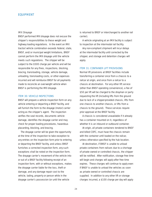#### <span id="page-31-0"></span>IMX Drayage

BNSF performed IMX drayage does not excuse the shipper's responsibilities to these weight and highway loading regulations. In the event an IMX tractor/vehicle combination exceeds federal, state, BNSF, and/or municipal weight limitations, BNSF cannot perform the IMX drayage until the vehicle meets such regulations. The shipper will be subject to the \$500 charge per vehicle and will be responsible for any fines, inspections, blocking, bracing, transloading, storage, vehicle damage, unloading, transloading costs, or other expenses incurred and will reimburse BNSF for all payments made to reconcile an overweight vehicle when BNSF is performing the IMX drayage.

### ITEM 30: VEHICLE INSPECTIONS

BNSF will prepare a vehicle inspection form on any vehicle entering or departing a BNSF facility, and will furnish the form to the drayage (motor) carrier acting as the shipper's agent. The inspection verifies the seal records, documents vehicle damage, identifies the drayage carrier and may check for proper loading procedures, hazardous placarding, blocking, and bracing.

The drayage carrier will be given the opportunity at the time of the inspection to take exception to any entries on the inspection form prior to entering or departing the BNSF facility, and unless BNSF furnishes a corrected inspection form, any such exceptions shall be noted on the inspection form. The drayage carrier's movement of the vehicle into or out of a BNSF facility following receipt of an inspection form, with or without exceptions, makes the drayage carrier liable for the loss, theft or damage, and any damage repair cost to the vehicle, lading, property or person while in the drayage carrier's possession (or until the vehicle

is returned to BNSF or interchanged to another rail carrier).

A vehicle originating at an IMX facility is subject to inspection at the intermodal rail facility.

Any non-compliant shipment will incur delays at the intermodal facility until corrected by the shipper, and storage and detention charges will apply.

#### ITEM 31: CONTAINER LIFT PROVISIONS

Normal lift provisions at BNSF facilities include transferring a container once from a chassis to a railcar at origin, and once from a railcar to a chassis at destination. For any other lift service (other than BNSF operating convenience), a fee of \$50 per lift will be charged to the drayman or party requesting the lift (including lifts from the ground due to lack of a shipper-provided chassis, lifts from one chassis to another chassis, or lifts from a chassis to the ground). These services require prior approval at the BNSF facility.

A chassis is considered unavailable if it already has a container mounted on it, regardless of whether it is an inbound or outbound container.

At origin, all private containers tendered to BNSF and billed COFC, must have the chassis remain with the container until loaded on the railcar, unless otherwise specified by the hub location.

At destination, if BNSF is unable to unload private containers from railcars due to a shortage of private owned or controlled chassis, the shipper will be notified. After notification, storage free time will begin and charges will apply after free time expires. These charges will continue to apply even if BNSF is unable to unload the vehicles as soon as private owned or controlled chassis are supplied. In addition to any other lift or storage charges incurred, a \$100 charge per day will apply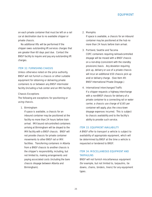<span id="page-32-0"></span>on each private container that must be left on a rail car at destination due to no available shipper or private chassis.

No additional lifts will be performed if the shipper owes outstanding lift services charges that are greater than 60 days past due. Contact the BNSF facility to inquire and pay any outstanding lift charges.

### ITEM 32: FURNISHING CHASSIS

Unless otherwise noted on the price authority, BNSF will not furnish a chassis or other suitable equipment for obtaining or delivering private containers to or between any BNSF intermodal facility (including a hub center and an IMX facility).

#### Chassis Exceptions

The following are exceptions for positioning or using chassis.

#### 1. Birmingham

If space is available, a chassis for an inbound container may be positioned at the facility no more than 24 hours before train arrival. IMX bound rail-controlled containers arriving at Birmingham will be drayed to the IMX facility with a BNSF chassis. BNSF will not provide chassis for private container movements to other BNSF rail or IMX facilities. Transferring containers in Atlanta from a BNSF chassis to another chassis is the shipper's responsibility, including, but not limited to, making arrangements and paying associated costs (including the bare chassis drayage between Atlanta and Birmingham).

### 2. Memphis

If space is available, a chassis for an inbound container may be positioned at the hub no more than 24 hours before train arrival.

### 3. Portland, Seattle and Tacoma

COFC containers requiring railroad-controlled drayage will be moved with a BNSF chassis on a non-drop (consistent with the standby provisions) basis. Any deviation requiring pick up, delivery or use of a private chassis will incur an additional \$50 chassis pick up and/or delivery charge. (See Item 49: BNSF International Private Drayage.)

### 4. International Interchanged Traffic

If a shipper requests a highway interchange with a non-BNSF chassis for delivery of a private container to a connecting rail or water carrier, a chassis use charge of \$165 per container will apply, plus the cross-town drayage expenses incurred. This is subject to chassis availability and to the facility's ability to provide such service.

### ITEM 33: EQUIPMENT AVAILABILITY

A BNSF offer to transport a vehicle is subject to availability of appropriate equipment, which will be determined by BNSF at the time a vehicle is requested or tendered to BNSF.

# ITEM 34: MISCELLANEOUS EQUIPMENT AND **TARPAULINS**

BNSF will not furnish miscellaneous equipment (for example, but not limited to, tarpaulins, tie downs, chains, binders, liners) for any equipment types.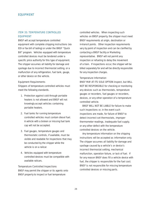# <span id="page-33-0"></span>ITEM 35: TEMPERATURE CONTROLLED EQUIPMENT

BNSF will accept temperature controlled equipment with complete shipping instructions (via EDI or fax bill of lading) or under the BNSF "Quick Bill" program. Vehicles equipped with temperature controlled devices must be tendered under a specific price authority for this type of equipment. The shipper assumes all liability for damage and spoilage due to incorrect thermostat setting, or a malfunction of any refrigeration, fuel tank, gauge, or other device on the vehicle.

#### Equipment Requirements

Shippers of temperature controlled vehicles must meet the following standards.

- 1. Protection against cold through portable heaters is not allowed and BNSF will not knowingly accept vehicles containing portable heaters.
- 2. Fuel tanks for running temperature controlled vehicles must contain diesel fuel. A vehicle with a broken or missing fuel tank cap will not be accepted.
- 3. Fuel gauges, temperature gauges and thermostatic controls, if available, must be visible and readable for inspections that may be conducted by the shipper while the vehicle is on a railcar.
- 4. Vehicles equipped with temperature controlled devices must be compatible with available railcars.

#### Temperature Controlled Inspections

BNSF may permit the shipper or its agents onto BNSF property to inspect or fuel temperature

controlled vehicles. When inspecting such vehicles on BNSF property, the shipper must meet BNSF requirements at origin, destination or in-transit points. Other inspection requirements vary by point of inspection and can be clarified by contacting a BNSF facility or Marketing representative. BNSF will not permit any inspection or refueling to delay the movement of a train. If inspections occur, the shipper will be billed separately for and will be directly responsible for any inspection charges.

### Temperature Information

BNSF MAY AT ITS SOLE OPTION inspect, but WILL NOT BE RESPONSIBLE for checking or monitoring any devices such as thermostats, temperature gauges or recorders, fuel gauges or recorders, devices, or any other operation of a temperature controlled vehicle.

BNSF WILL NOT BE LIABLE for failure to make such inspections or, in the event such inspections are made, for failure of BNSF to detect incorrect set thermostats, improper thermometer readings, inadequate fuel supply, or any other defect with the temperature controlled devices on the vehicle.

Any temperature information on the shipping instructions will be accepted as information only. The shipper assumes all liability for damage and spoilage caused by a vehicle's or device's incorrect thermostat setting, mechanical malfunction, operation failure, or lack of fuel. If for any reason BNSF does fill a vehicle device with fuel, the shipper is responsible for the fuel cost. BNSF is not responsible for missing temperature controlled devices or missing parts.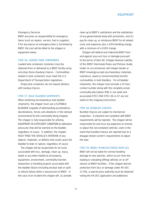#### <span id="page-34-0"></span>Emergency Services

BNSF assumes no responsibility for emergency items (such as repairs, service, fuel or supplies). If for any reason an emergency item is furnished by BNSF, the cost will be billed to the shipper or equipment owner.

#### ITEM 36: LOADED TANK CONTAINERS

Loaded tank containers (isotanks) must be obtained from or delivered to a BNSF facility using only drop frame (low-boy) chassis. Commodities loaded in tank containers must meet the U.S. Department of Transportation regulations.

Empty tank containers do not require delivery with low-boy chassis.

### ITEM 37: BULK BLADDER SHIPMENTS

When tendering non-hazardous bulk bladder shipments, the shipper must use a SUITABLE BLADDER (capable of withstanding accelerations, decelerations, forces and vibrations in the railroad environment) for the commodity being shipped. The shipper is fully responsible for utilizing EQUIPMENT IN SUFFICIENT CONDITION to withstand pressures that will be exerted on the bladder, regardless of cause. In addition, the shipper MUST FREE THE VEHICLE'S INTERIOR of any objects, materials, or defects that could cause the bladder to leak or rupture, regardless of cause.

The shipper will be responsible for all costs associated with loss, damage, clean up, injury, death or any other liability to all property, equipment, environment, commodity transfer, disposition or handling aspects associated with the bladder failure (including residue leak or spill) or vehicle failure while in possession of BNSF. In the case of an incident the shipper will: (1) provide

clean up to BNSF's satisfaction and the satisfaction of any governmental body with jurisdiction, and (2) pay for clean up, or reimburse BNSF for all related costs and expenses plus a 50% handling charge, with a minimum of a \$500 charge.

Shipper will defend and indemnify BNSF from and against any such loss or damage pursuant to the terms of Item 60: Shipper General Liability of this *BNSF Intermodal Rules and Policies Guide.* Under no circumstances will shipper tender or BNSF knowingly accept any hazardous materials, substance, waste or environmentally harmful commodities in bulk bladders. For all bladder shipments, the shipper must provide a 24 hour contact number along with the complete actual commodity description (FAK is not valid) and associated STCC (FAK STCC 46 or 47 are not valid) on the shipping instructions.

### ITEM 38: BUNDLED CHASSIS

Bundled chassis are subject to mechanical inspection. A shipment not compliant with BNSF requirements will be rejected. The shipper will be responsible for and incur any expenses to remove or adjust the non-compliant vehicles, even in the event that bundled chassis are rejected due to a drayage (motor) carrier's requirements to adjust the load.

#### ITEM 39: NEWLY MANUFACTURED VEHICLES

BNSF will not be liable for normal handling damage to new vehicles, which occurs from the loading or unloading (lifting) vehicles on or off railcars at BNSF facilities. If the shipper desires protection from loss or damage under 49 USC 11706, a special price authority must be obtained noting the 49 USC application and additional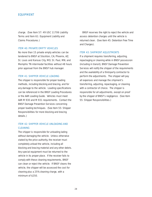<span id="page-35-0"></span>charge. (See Item 57: 49 USC 11706 Liability Terms and Item 61: Equipment Liability and Claims Procedures.)

### ITEM 40: PRIVATE EMPTY VEHICLES

No more than 15 private empty vehicles can be tendered to BNSF at Stockton, CA; Phoenix, AZ; St. Louis and Kansas City, MO; St. Paul, MN; and Memphis TN intermodal facilities without 48 hours prior approval from the BNSF hub manager.

### ITEM 41: SHIPPER VEHICLE LOADING

The shipper is responsible for proper loading methods, including blocking and bracing, and for any damage to the vehicle. Loading specifications can be referenced in the BNSF Loading Procedures or the AAR Loading Guide. Vehicles must meet AAR M 930 and M 931 requirements. Contact the BNSF Damage Prevention Services concerning proper loading techniques. (See Item 55: Shipper Responsibilities for more blocking and bracing details.)

# ITEM 42: SHIPPER VEHICLE UNLOADING AND **CLEANING**

The shipper is responsible for unloading lading without damaging the vehicle. Unless otherwise stated by the price authority, the receiver must completely unload the vehicle, including all blocking and bracing material and any other debris. Any special equipment must be returned to the vehicle in its proper place. If the receiver fails to comply with these cleaning requirements, BNSF can clean or reject the vehicle. If BNSF cleans the vehicle, the shipper will be assessed the cost for cleaning plus a 25% cleaning charge, with a minimum of \$250.

BNSF reserves the right to reject the vehicle and assess detention charges until the vehicle is returned clean. (See Item 45: Detention Free Time and Charges).

#### ITEM 43: SHIPMENT ADJUSTMENTS

If a shipment requires transferring, adjusting, repackaging or cleaning while in BNSF possession (including in transit), BNSF Damage Prevention Services will notify the shipper of the requirements and the availability of a third-party contractor to perform the adjustments. The shipper will pay all expenses and manage the shipment's transferring, adjusting, repackaging, or cleaning with a contractor of choice. The shipper is responsible for all adjustments, except on proof by the shipper of BNSF's negligence. (See Item 55: Shipper Responsibilities.)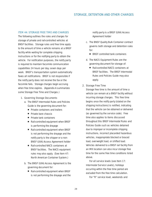### <span id="page-36-0"></span>ITEM 44: STORAGE FREE TIME AND CHARGES

The following outlines the rules and charges for storage of private and rail-controlled vehicles at BNSF facilities. Storage rules and free time apply to the amount of time a vehicle remains at a BNSF facility while waiting for complete shipping instructions or for the notifying party to obtain the vehicle. *For notification purposes, the notify party is required to maintain facsimile communication capabilities 24 hours per day, seven days per week.* BNSF's transportation system automatically faxes all notifications. BNSF is not responsible if the notify party does not receive the fax or the facsimile fails. Storage charges begin accruing when free time expires. (Appendix A summarizes some Storage Free Time and Charges.)

### 1. Governing Storage Documents

- a. *The BNSF Intermodal Rules and Policies Guide is the governing document for:*
	- Private containers and trailers
	- Private bare chassis
	- Private tank containers
	- Rail-controlled equipment when BNSF is performing the drayage
	- Rail-controlled equipment when BNSF is not performing the drayage and the notify party is the shipper or a non-BNSF (UIIA) Access Agreement holder
	- Rail-controlled NACS containers at BNSF facilities. The NACS equipment rules may also apply. (See Item 47: North American Container System.)
- b. *The BNSF (UIIA) Access Agreement is the governing document for:*
	- Rail-controlled equipment when BNSF is not performing the drayage and the

notify party is a BNSF (UIIA) Access Agreement holder

- c. *The BNSF Quality Bulk Container contract governs both storage and detention rules for:*
	- BNSF controlled tank containers
- d. *The NACS Equipment Rules are the governing document for storage of:*
	- Rail-controlled NACS containers at BNSF facilities. The *BNSF Intermodal Rules and Policies Guide* may also apply.

### 2. Storage Free Time

Storage free time is the amount of time a vehicle can remain at a BNSF facility without incurring storage charges. This free time begins once the notify party (stated on the shipping instructions) is notified, indicating that the vehicle can be obtained or delivered (as governed by the service code). Free time also applies to items discussed throughout this *BNSF Intermodal Rules and Policies Guide* such as vehicles detained due to improper or incomplete shipping instructions, incorrect placarded hazardous vehicles, inappropriate blocked or braced load, overweight load, or shifted load. Vehicles delivered to a BNSF rail facility from an IMX location can also incur storage free time for the same free time conditions listed above.

For all service levels (see Item 17: Intermodal Service Levels), holidays occurring within the free time period are excluded from the free time calculation.

For "R" service level, weekends and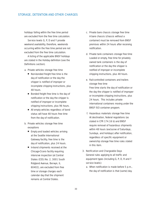holidays falling within the free time period are excluded from the free time calculation.

Service levels G, P, D and Y provide weekend availability, therefore, weekends occurring within the free time period are not excluded from the free time calculation.

A listing of the applicable BNSF holidays are stated in the Holiday definition (see the Definitions section).

- a. *Private vehicles storage free time*
	- Non-bonded freight free time is the day of notification or the day the shipper is notified of improper or incomplete shipping instructions, plus 48 hours.
	- Bonded freight free time is the day of notification or the day the shipper is notified of improper or incomplete shipping instructions, plus 96 hours.
	- All empty vehicles regardless of bond status will have 48 hours free time from the day of notification.
- b. *Private vehicles storage free time exceptions*
	- Empty and loaded vehicles arriving at the Seattle International Gateway facility, free time is the day of notification, plus 24 hours.
	- In-bond shipments received at the Chicago-Cicero facility requiring intensive inspection (at Central States (CES) No. 2, 3001 South Ridgland Avenue, Berwyn, IL 60402), are excluded from free time or storage charges each calendar day that the shipment remains at Central States.
- c. *Private bare chassis storage free time* A bare chassis (chassis without a container) must be removed from BNSF premises within 24 hours after receiving notification.
- d. *Private tank containers storage free time* Loaded or empty, free time for privately owned tank containers is the day of notification or the day the shipper is notified of improper or incomplete shipping instructions, plus 48 hours.
- e. *Rail-controlled containers and trailers storage free time* Free time starts the day of notification or the day the shipper is notified of improper or incomplete shipping instructions, plus 24 hours. This includes private
	- international containers moving under the BNSF ISO container program.
- f. *Hazardous materials storage free time* At destination, federal regulations (as stated in CFR 174.16 b) and BNSF require removal of hazardous shipments within 48 hours (exclusive of Saturdays, Sundays, and holidays) after notification, regardless of specific equipment or ownership storage free time rules stated in this item.

# 3. Notification and Chargeable Days

*General rules applying to all traffic and equipment types (including G, P, D, R and Y service levels):*

a. When notification is made before 5 p.m., the day of notification is that (same) day.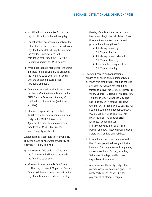- **b.** If notification is made after 5 p.m., the day of notification is the following day.
- c. For notification occurring on a holiday, the notification day is considered the following day. If a holiday falls during the free time, the holiday is not included in the calculation of the free time. (See the Definitions section for BNSF holidays.)
- d. When notification is made prior to the time indicated in the BNSF Service Schedules, the free time calculation will not begin until the scheduled availabilities (excluding empties).
- e. On shipments made available more than two hours after the time indicated in the BNSF Service Schedules, the day of notification is the next day (excluding empties).
- f. Storage charges will begin the first 12:01 a.m. after notification if a drayman party to the BNSF (UIIA) Access Agreement refuses to obtain a vehicle. (See Item 5: BNSF (UIIA) Trucker Interchange Application.)

*Additional rules applicable to shipments NOT requiring seven-day-per-week availability (for example "R" service level):*

- g. If a weekend falls during the free time, the first weekend will not be included in the free time calculation.
- h. When notification is made from 5 p.m. on Thursday through 4:59 p.m. on Sunday, Sunday will be considered the notification day. If notification is made on a holiday,

the day of notification is the next day. Monday will begin the calculation of free time and the shipment must depart prior to the following times for:

- Private equipment by 11:59 p.m. Tuesday
- Private equipment in-bond by 11:59 p.m. Thursday
- Rail-controlled equipment by 11:59 p.m. Monday

### 4. Storage Charges and Applications

*Applies to all traffic and equipment types:*

- a. When free time expires, storage charges are \$100 per vehicle for each full or fraction of a day at the Cicero, IL; Chicago, IL; Willow Springs, IL; Harvard, AR; Houston, TX; Kansas City, KS; Kansas City, MO; Los Angeles, CA; Memphis, TN; New Orleans, LA; Portland, OR; S. Seattle, WA; Seattle (Seattle International Gateway), WA; St. Louis, MO; and St. Paul, MN BNSF facilities. At all other BNSF facilities, storage charges are \$50 per vehicle for each full or fraction of a day. These charges include Saturdays, Sundays and holidays.
- **b.** Private bare chassis not removed within the 24 hour period following notification, incur a \$100 charge per vehicle, per day for each fraction or full day, including Saturdays, Sundays, and holidays (regardless of location).
- c. At destination, the notify party is the party to whom notification is given. The notify party will be responsible for payment of all storage charges.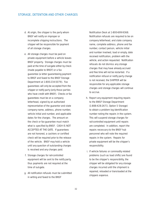- d. At origin, the shipper is the party whom BNSF will notify on improper or incomplete shipping instructions. The shipper will be responsible for payment of all storage charges.
- e. All storage charges must be paid on private equipment before a vehicle leaves BNSF property. Storage charges must be paid at the time of out-gate either by check (made payable to BNSF) or a fax guarantee (a letter guaranteeing payment to BNSF and faxed to the BNSF Storage Department at 1-800-234-5079). Fax guarantees will only be accepted from the shipper or notify party (only those parties who have credit with BNSF). Checks or fax guarantees must be on a company letterhead, signed by an authorized representative of the guarantor and state company name, address, phone number, vehicle initial and number, and applicable dates for the charges. The amount on the check or fax guarantee must match what is specified by BNSF. CASH IS NOT ACCEPTED AT THE GATE. If guarantees are not honored, a cashiers or certified check will be required prior to the release of the vehicle. BNSF may hold a vehicle until any question of outstanding charges is resolved and any charges paid.
- f. Storage charges for rail-controlled equipment will be sent to the notify party, thus payments are not required at the time of out-gate.
- g. All notification refusals must be submitted in writing and faxed to the BNSF

Notification Desk at 1-800-699-9368. Notification refusals are required to be on company letterhead, and state company name, complete address, phone and fax number, contact person, vehicle initial and number involved, load or empty, date received notification, problem with the vehicle, and action requested. Notification refusals do not dismiss any storage charges that may have already accrued and free time will not be restarted. If a notification refusal or notify party change is not received, the SHIPPER will be responsible for any applicable storage charges and storage charges will continue to accrue.

- h. Report any equipment requiring repairs to the BNSF Storage Department (1-888-428-2673, Option 5 Storage) to obtain a problem log identification number noting the repairs in the system. This will suspend storage charges for rail-controlled equipment until repairs are completed. In addition, report the repairs necessary to the BNSF hub personnel who will note the required repairs in the system. Repairs for private equipment will be the shipper's responsibility.
- i. If vehicle failures or commodity related problems (such as load shifts) are found to be the shipper's responsibility, the shipper will be obligated for any storage charges incurred until the shipment is repaired, reloaded or transloaded at the shippers expense.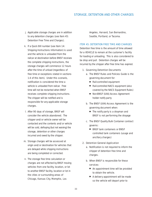- <span id="page-40-0"></span>j. Applicable storage charges are in addition to any detention charges (see Item 45: Detention Free Time and Charges).
- k. If a Quick Bill number (see Item 14: Shipping Instructions Information) is used and the vehicle is unloaded from the railcar at destination before BNSF receives the complete shipping instructions, the storage charges will commence 12 hours after the time of unload (regardless of free time or exceptions stated in sections 1-4 of this item). Under this scenario, notification is considered the time a vehicle is unloaded from railcar. Free time will not be restarted when BNSF receives complete shipping instructions. The shipper will be notified and is responsible for any applicable storage charges.
- l. After 90 days of storage, BNSF will consider the vehicle abandoned. The shipper and/or vehicle owner will be contacted and the contents and/or vehicle will be sold, defraying (but not waiving) the storage, detention or other charges incurred and owed by the shipper.
- m. Storage charges will be assessed at origin and/or destination for vehicles that are delayed while shipping instructions are being completed or corrected.
- n. The storage free time calculation or charges are not affected by BNSF moving vehicles from one facility, location, or lot to another BNSF facility, location or lot in the cities or surrounding areas of Chicago, Kansas City, Memphis, Los

Angeles, Harvard, San Bernardino, Seattle, Portland, or Tacoma.

# ITEM 45: DETENTION FREE TIME AND CHARGES

Detention free time is the amount of time allowed for a VEHICLE to remain at the customer's facility for loading or unloading. This is also considered to be drop and pull. Detention charges will be incurred by the shipper after free time has expired.

- 1. Governing Detention Documents
	- a. *The BNSF Rules and Policies Guide is the governing document for:*
		- Rail-controlled equipment
		- Rail-controlled NACS equipment (also covered by the NACS Equipment Rules)
		- Non-BNSF (UIIA) Access Agreement holder notify party
	- b. *The BNSF (UIIA) Access Agreement is the governing document when:*
		- The notify party is a drayman and BNSF is not performing the drayage
	- c. *The BNSF Quality Bulk Container contract governs:* 
		- BNSF tank containers or BNSF controlled tank containers (usage and ancillary charges)

#### 2. Detention General Application

- a. Notification is not required to inform the shipper of detention free time and charges.
- b. When BNSF is responsible for these services:
	- An appointment time will be provided to obtain the vehicle.
	- A delivery appointment will be made so the vehicle will depart prior to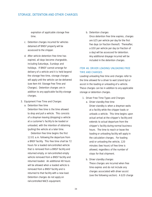<span id="page-41-0"></span>expiration of applicable storage free time.

- c. Detention charges incurred for vehicles detained off BNSF property will be assessed to the shipper.
- d. After vehicle detention free time has expired, all days become chargeable, including Saturdays, Sundays and holidays. If BNSF cannot arrange for delivery of a vehicle and it is held beyond the storage free time, storage charges will apply until the vehicle can be delivered (see Item 44: Storage Free Time and Charges). Detention charges are in addition to any applicable facility storage charges.

#### 3. Equipment Free Time and Charges

a. *Detention free time*

Detention free time is the time allowed to drop and pull a vehicle. This consists of a drayman leaving (dropping) a vehicle at a customer's facility to be loaded or unloaded, with the intention of obtaining (pulling) the vehicle at a later time.

Detention free time begins the first 12:01 a.m. following the departure from a BNSF facility. This free time shall be 72 hours for a loaded rail-controlled vehicle that is removed from a BNSF facility and returned empty, or rail-controlled empty vehicle removed from a BNSF facility and returned loaded. An additional 48 hours will be allowed when a loaded vehicle is removed from a BNSF facility and is returned to that facility with a new load. Detention charges do not apply on rail-controlled NACS equipment.

#### b. *Detention charges*

Once detention free time expires, charges are \$25 per vehicle per day for the first five days (or fraction thereof). Thereafter, a \$50 per vehicle per day (or fraction of a day) will be assessed for detention. Any additional drayage incurred will be included in the detention charges.

# ITEM 46: DRIVER LOADING/UNLOADING FREE TIME AND CHARGES

Loading/unloading free time and charges refer to the time allowed for a driver to wait (stand by) or assist in the loading or unloading of a vehicle. These charges can be in addition to any applicable storage or detention charges.

#### 1. Driver Free Time Types and Charges

- a. *Driver standby free time* Driver standby is when a drayman waits at a facility while the shipper loads or unloads a vehicle. This time begins upon actual arrival at the shipper's facility and extends to actual departure from the shipper's facility during normal business hours. The time to reach or leave the loading or unloading facility will apply in the calculation charges. For loading and/or unloading the vehicle, 120 minutes (two hours) of free time is allowed, regardless of the number of stops for that shipment.
- b. *Driver standby charges* These charges are incurred when free time expires and do not include any charges associated with driver assist (see the following section). A \$20 charge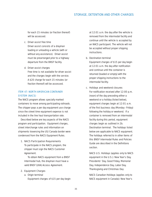<span id="page-42-0"></span>for each 15 minutes (or fraction thereof) will be assessed.

c. *Driver assist free time*

Driver assist consists of a drayman loading or unloading a vehicle (with or without any assistance). Driver assist must be prearranged prior to a highway departure from the BNSF facility.

d. *Driver assist charges*

Free time is not available for driver assist and the charges begin with the service. A \$20 charge for each 15 minutes (or fraction thereof) will be assessed.

# ITEM 47: NORTH AMERICAN CONTAINER SYSTEM (NACS)

The NACS program allows specially marked containers to move among participating railroads. The shipper pays a per day equipment use charge since the street time equipment expense is not included in the line haul transportation rate.

Described below are key aspects of the NACS program and participation. Equipment charges, street interchange rules and information on shipments traversing the US/Canada border were condensed from the NACS Equipment Rules.

1. NACS Participation Requirements

To participate in the NACS program, the shipper must sign the NACS Customer Agreement.

To obtain NACS equipment from a BNSF Intermodal hub, the drayman must have a valid BNSF (UIIA) Access Agreement.

### 2. Equipment Charges

a. *Origin terminal* Equipment charges of \$15 per day begin at 12:01 a.m. the day after the vehicle is removed from the intermodal facility and continue until the vehicle is accepted by an NACS participant. The vehicle will not be accepted without proper shipping instructions.

b. *Destination terminal*

Equipment charges of \$15 per day begin at 12:01 a.m. the day after notification and continue until the container is returned (loaded or empty) with the proper shipping instructions to the intermodal facility.

c. *Holidays and weekend closures* For notification received after 12:00 p.m. (noon) of the day preceding either a weekend or a holiday (listed below), equipment charges begin at 12:01 a.m. of the first business day (Monday - Friday) following the holiday or weekend. If a container is removed from an intermodal facility during this period, equipment charges begin as outlined in 2b. Destination terminal. The holidays listed below are applicable to NACS equipment. The holidays referred to in other items of this *BNSF Intermodal Rules and Policies Guide* are described in the Definitions section.

NACS U.S. Holidays (applies only to NACS equipment in the U.S.): New Year's Day, Presidents' Day, Good Friday, Memorial Day, Independence Day, Labor Day, Thanksgiving and Christmas Day

NACS Canadian Holidays (applies only to NACS equipment in Canada): New Year's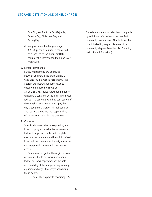Day, St. Jean Baptiste Day (PQ only), Canada Day, Christmas Day and Boxing Day

d. *Inappropriate interchange charge* A \$350 per vehicle misuse charge will be assessed to the shipper if NACS equipment is interchanged to a non-NACS participant.

### 3. Street Interchange

Street interchanges are permitted between shippers if the drayman has a valid BNSF (UIIA) Access Agreement. The appropriate interchange form must be executed and faxed to NACS at 1-800-228-7965 at least two hours prior to tendering a container at the origin intermodal facility. The customer who has possession of the container at 12:01 a.m. will pay that day's equipment charge. All maintenance and repair charges are the responsibility of the drayman returning the container.

### 4. Customs

Specific documentation is required by law to accompany all transborder movements. Failure to supply accurate and complete customs documentation will result in refusal to accept the container at the origin terminal and equipment charges will continue to accrue.

Containers delayed at the origin terminal or en route due to customs inspection or lack of customs paperwork are the sole responsibility of the shipper along with any equipment charges that may apply during these delays.

U.S. domestic shipments traversing U.S./

Canadian borders must also be accompanied by additional information other than FAK commodity descriptions. This includes, but is not limited to, weight, piece count, and commodity shipped (see Item 14: Shipping Instructions Information).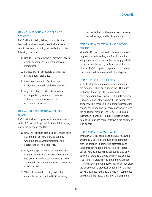# **DRAYAGE**

# <span id="page-44-0"></span>ITEM 48: IMPRACTICAL BNSF DRAYAGE **SERVICES**

BNSF will not obtain, deliver, or provide other terminal services if any impractical or unsafe conditions exist, including but not limited to the following conditions.

- 1. Roads, streets, driveways, highways, alleys or other approaches are impassable or impractical.
- 2. Streets are not accessible by truck (as stated in local ordinance).
- 3. Loading or unloading facilities are inadequate to obtain or deliver a vehicle.
- 4. Any riot, strike, picket or disturbance accompanied by actual or threatened violence prevent a vehicle to be obtained or delivered.

# ITEM 49: BNSF INTERNATIONAL PRIVATE **DRAYAGE**

BNSF will perform drayage for loads with service codes 82 (pier pick up) and 87 (pier delivery) only under the following conditions.

- 1. BNSF will perform pier pick up (service code 82) and pier delivery (service code 87) when the price authority indicates the appropriate service code; AND
- 2. Drayage is applicable for service code 82 when an *immediate prior* water movement has occurred and for service code 87 when an *immediate subsequent* water movement will occur; AND
- 3. When all required shipping instruction elements are provided to BNSF including,

but not limited to, the proper service code, vessel, voyage, and booking number.

# ITEM 50: NON-UTILIZATION BNSF DRAYAGE **CHARGE**

When BNSF is responsible to obtain a shipment (any service code ending in a 0 or 2), and the shipper cancels the order after the empty vehicle has departed the facility, a \$75 cancellation fee plus any BNSF drayage charges incurred before cancellation will be assessed to the shipper.

### ITEM 51: MULTIPLE DELIVERIES

Multiple stops to obtain or deliver a shipment are permitted when specified in the BNSF price authority. These are also considered split deliveries or multiple stop-offs. If a split delivery is requested after the shipment is in transit, the shipper will be charged a \$50 shipping instruction change fee in addition to charges associated with the additional drayage (see Item 15: Shipping Instruction Changes). Requests must be made to a BNSF Logistics representative if the shipment is in transit.

#### ITEM 52: BNSF DRAYAGE INABILITY

When BNSF is responsible to obtain or deliver a shipment, BNSF will schedule an appointment with the shipper. If delivery is attempted and failed through no fault of BNSF, a \$75 charge per delivery attempt will be assessed plus any additional drayage charges and storage charges (see Item 44: Storage Free Time and Charges).

If a vehicle cannot be delivered, BNSF may place the shipment in a practical location after the first delivery attempt. Storage charges will commence applying the first 12:01 a.m. after the shipment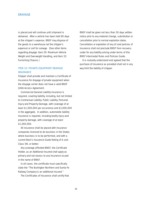### <span id="page-45-0"></span>**DRAYAGE**

is placed and will continue until shipment is delivered. After a vehicle has been held 90 days at the shipper's expense, BNSF may dispose of the goods to a warehouse (at the shipper's expense) or sell for salvage. (See other items regarding drayage: Item 29: Maximum Vehicle Weight and Overweight Handling, and Item 32: Furnishing Chassis.)

# ITEM 53: PRIVATE EQUIPMENT DRAYAGE **INSURANCE**

Shipper shall provide and maintain a Certificate of Insurance for drayage of private equipment when the drayage carrier does not have a valid BNSF (UIIA) Access Agreement.

Commercial General Liability insurance is required, covering liability, including, but not limited to Contractual Liability, Public Liability, Personal Injury and Property Damage, with coverage of at least \$1,000,000 per occurrence and \$3,000,000 in the aggregate. In addition, automobile liability insurance is required, including bodily injury and property damage, with coverage of at least \$1,000,000.

All insurance shall be placed with insurance companies licensed to do business in the States where business is to be performed, and with a current Best's Insurance Guide Rating of A- and Class VIII, or better.

Any coverage afforded BNSF, the Certificate Holder, as an Additional Insured shall apply as primary and not excess to any insurance issued in the name of BNSF.

In all cases, the certificate must specifically state the "The Burlington Northern and Santa Fe Railway Company is an additional insured."

The Certificates of Insurance shall certify that

BNSF shall be given not less than 30 days written notice prior to any material change, substitution or cancellation prior to normal expiration dates. Cancellation or expiration of any of said policies of insurance shall not preclude BNSF from recovery under for any liability arising under terms of this *BNSF Intermodal Rules and Policies Guide*.

It is mutually understood and agreed that the purchase of insurance as provided shall not in any way limit the liability of shipper.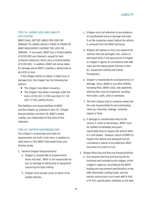# <span id="page-46-0"></span>ITEM 54: LADING LOSS AND LIABILITY APPLICATION

BNSF SHALL NOT BE LIABLE FOR LOSS OR DAMAGE TO LADING UNLESS THERE IS PROOF OF BNSF NEGLIGENCE CAUSING THE LOSS OR DAMAGE. In any event, BNSF has a limited liability of \$250,000 per shipment, except for tank container shipments which carry a limited liability of \$100,000. In addition, BNSF will not be liable for damage where BNSF's liability is determined to be \$250 or less.

If the shipper wishes to obtain a higher loss or damage limit, the shipper has the following two options:

- The shipper may obtain insurance.
- The shipper may obtain coverage under the terms of 49 USC 11706 (see Item 57: 49 USC 11706 Liability Terms).

The liabilities and responsibilities of BNSF and the shipper, as outlined in Item 55: Shipper Responsibilities and Item 56: BNSF Limited Liability, are independent of the value of the shipment.

### ITEM 55: SHIPPER RESPONSIBILITIES

The shipper is responsible and liable for requirements set forth in this item, in addition to other items in this *BNSF Intermodal Rules and Policies Guide.*

- 1. General Shipper Responsibilities
	- **a.** Shipper is responsible to properly block, brace and load. BNSF is not responsible for loss or damage to lading and/or equipment caused by the load shifting.
	- b. Shipper must provide seals on doors of all loaded vehicles.
- c. Shipper must call attention to any evidence of unauthorized entry or damage and note it on the inspection report before the vehicle is removed from the BNSF premises.
- d. Shipper will replace or incur any expense for vehicles that are damaged, lost, stolen or destroyed while in the possession of shipper or shipper's agents (in accordance with AAR rules and the depreciation formula in Item 61: Equipment Liability and Claims Procedures).
- e. Shipper is responsible for all property loss or damage, injury, death or any other liability, including fines, BNSF costs, late payments, attorney fees and any expenses resulting from leaks, spills, and/or overloads.
- f. The tank shipper and/or container owner has the sole responsibility for any overloading, clean up, transload, leakage, container repairs or fines.
- g. If damage or unauthorized entry to the vehicle is noted at destination, BNSF must be notified immediately and given reasonable time to inspect the vehicle while it is still loaded. However, failure of BNSF to inspect the vehicle and lading will not be considered a waiver of any defenses BNSF may have to a claim or suit.

#### 2. Shipper Blocking and Bracing Responsibilities

a. Any required blocking and bracing will be furnished and installed by the shipper, at the shipper's expense, according to the BNSF loading and securement specifications or the AAR Intermodal Loading Guide, and the vehicle construction must meet AAR M 930 or M 931 specifications effective on the date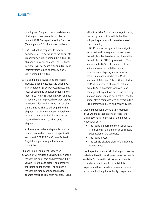of shipping. For questions or assistance on blocking and bracing methods, please contact BNSF Damage Prevention Services. (See Appendix C for the phone numbers.)

- b. BNSF will not be responsible for any damages caused by failure of the shipper to properly block, brace or load the lading. The shipper is liable for damages, costs, fines, personal injury or death resulting directly or indirectly from failure to properly block, brace or load the lading.
- c. If a shipment is found to be improperly blocked, braced or loaded, the shipper will pay a charge of \$500 per occurrence, plus incur all expenses to adjust or transfer the load. (See Item 43: Shipment Adjustments.) In addition, if an improperly blocked, braced or loaded shipment has to be set out of a train, a \$2000 charge will be paid by the shipper. If a shipment causes a derailment or other damages to BNSF, all expenses incurred by BNSF will be charged to the shipper.
- d. All hazardous material shipments must be loaded, blocked and braced as specified in section 49 CFR 174.55 (Code of Federal Regulations pertaining to hazardous materials).

#### 3. Shipper Origin Equipment Inspection

a. When BNSF provides a vehicle, the shipper is responsible to inspect and determine if the vehicle is suitable to protect and preserve the lading during transit. The shipper is responsible for any additional drayage charges resulting from such rejection. BNSF

will not be liable for loss or damage to lading caused by defects in a vehicle that the shipper inspection could have discovered prior to loading.

BNSF retains the right, without obligation, to inspect and/or weigh a shipment when the vehicle is tendered or at any time while the vehicle is in BNSF's possession. This inspection by BNSF is to ensure that the shipment complies with the safety requirements, shipping instructions, and other issues addressed in this *BNSF Intermodal Rules and Policies Guide*. Failure of BNSF to inspect a shipment shall not make BNSF responsible for any loss or damage that might have been discovered by such an inspection and does not release the shipper from complying with all terms in this *BNSF Intermodal Rules and Policies Guide.*

- 4. Lading Inspection Beyond BNSF Premises BNSF will make inspections of loads and lading beyond its premises at the shipper's request ONLY IF:
	- The lading is short and the original seals are missing at the time BNSF surrenders possession of the vehicle(s).
	- The lading is wet.
	- The vehicle displays signs of damage due to negligence.

If an inspection is done, all blocking and bracing material utilized in the shipment must be readily available for inspection at the inspection site. If the above conditions do not exist, this inspection will be considered an extra service not included in the price authority. Inspection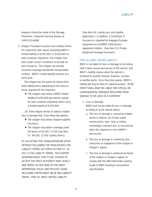<span id="page-48-0"></span>requests should be made to the Damage Prevention, Inspection Service Bureau at 1-800-333-4686.

5. Shipper Provided Insurance and Liability Terms For shipments with values exceeding BNSF's limited liability of \$250,000, or \$100,000 on tank container shipments, the shipper may elect under certain conditions to provide its own insurance. The shipper can provide insurance coverage outside the transportation contract. BNSF's limited liability remains at a \$250,000.

The shipper has the option to choose from three liability terms depending on the value or terms required for the shipment.

■ The shipper may select a BNSF limited liability of \$250,000 per vehicle, except for tank container shipments which carry a limited liability of \$100,000.

Or, if the shipper wishes to obtain a higher loss or damage limit, it has these two options:

- The shipper may obtain shipper-supplied insurance.
- The shipper may obtain coverage under the terms of 49 USC 11706 (see Item 57: 49 USC 11706 Liability Terms).

BY ACCEPTING THIS TRANSPORTATION OFFER WITHOUT FOLLOWING THE PROCEDURES FOR LIABILITY TERMS SET FORTH IN ITEM 57: 49 USC 11706 LIABILITY TERMS, THE SHIPPER ACKNOWLEDGES THAT IT HAS CHOSEN TO ACCEPT THE PRICE AUTHORITY RATE LEVELS AND TERMS AS OUTLINED IN THIS *BNSF INTERMODAL RULES AND POLICIES GUIDE* INCLUDING LIMITED BNSF VALUE AND LIABILITY TERMS, ITEM 56: BNSF LIMITED LIABILITY.

(See Item 54: Lading Loss and Liability Application.) In addition, a Certificate of Insurance is required for drayage of private equipment by non-BNSF (UIIA) Access Agreement holders. (See Item 53: Private Equipment Drayage Insurance).

### ITEM 56: BNSF LIMITED LIABILITY

BNSF is not liable for loss or damage to the lading until it takes actual possession of the vehicle, and BNSF's liability ceases when the vehicle is tendered to another railroad, drayman, receiver or another party. Once free time expires, BNSF's liability will only be that of a warehouseman. IN NO EVENT SHALL BNSF BE LIABLE FOR SPECIAL OR CONSEQUENTIAL DAMAGES RESULTING FROM DAMAGE TO OR LOSS OF A SHIPMENT.

### 1. Loss or Damage

BNSF shall not be liable for loss or damage to lading or to the vehicle where:

- a. The loss or damage is caused by shipper action or default, act of God, public enemy action, laws, riots or strikes, commodity's inherent vice, or occurrences when the shipment is not in BNSF's possession.
- b. The loss or damage is created by acts, omissions or negligence of the shipper or shipper's agents.
- c. The loss or damage is produced by failure of the shipper or shipper's agents to comply with the AAR Intermodal Loading Guide or BNSF loading or securement specifications.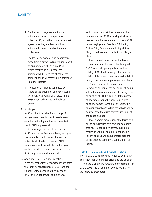- <span id="page-49-0"></span>d. The loss or damage results from a shipment's delay in transportation, unless BNSF, upon the shipper's request, agrees in writing in advance of the shipment to be responsible for such loss or damage.
- e. The loss or damage occurs to shipments made from a private siding, station, wharf or landing, where there is no BNSF representative; in such case, the shipment will be received at risk of the shipper until BNSF removes the shipment from that location.
- f. The loss or damage is generated by failure of the shipper or shipper's agents to comply with obligations stated in this *BNSF Intermodal Rules and Policies Guide*.

### 2. Shortages

BNSF shall not be liable for shortage of lading unless there is specific evidence of unauthorized entry into the vehicle while it was in BNSF's possession.

If a shortage is noted at destination, BNSF must be notified immediately and given a reasonable time to inspect the vehicle while it is still loaded. However, BNSF's failure to inspect the vehicle and lading will not be considered a waiver of any defenses BNSF may have to a claim or suit.

### 3. Additional BNSF Liability Limitations

In the event that loss or damage results from the concurrent negligence of BNSF and the shipper, or the concurrent negligence of BNSF and an act of God, public enemy

action, laws, riots, strikes, or commodity's inherent nature, BNSF's liability shall be no greater than the percentage of proven BNSF causal negligence. See Item 59: Lading Claims Filing Procedures outlining claims filing procedures and time limits for filing a claim.

If a shipment moves under the terms of a through intermodal ocean bill of lading with BNSF as a participating rail carrier, the liability of BNSF will be no greater than the liability of the ocean carrier issuing the bill of lading. The number of packages indicated in the "Total Number of Containers or Packages" section of the ocean bill of lading will be the maximum number of packages for calculation of BNSF's liability. If the number of packages cannot be ascertained with certainty from the ocean bill of lading, the number of packages within the vehicle will be equivalent to the customary freight count of the goods shipped.

If a shipment moves under the terms of a bill of lading issued by a trucking company that has limited liability terms, such as a maximum value per pound limitation, the liability of BNSF will be no greater than that of the trucking company issuing the bill of lading.

### ITEM 57: 49 USC 11706 LIABILITY TERMS

The 49 USC 11706 provides for full value liability and other liability terms for BNSF and the shipper.

To make a shipment pursuant to the terms of 49 USC 11706, the shipper must comply with all of the following procedures: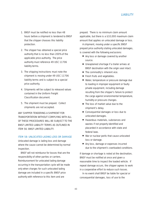- <span id="page-50-0"></span>1. BNSF must be notified no less than 48 hours before a shipment is tendered to BNSF that the shipper chooses this liability protection.
- 2. The shipper has obtained a special price authority that is no less than 200% of the applicable price authority. The price authority must reference 49 USC 11706 liability terms.
- 3. The shipping instructions must note the shipment is moving under 49 USC 11706 liability terms and is subject to a special price authority.
- 4. Shipments will be subject to released values contained in the Uniform Freight Classification document.
- 5. The shipment must be prepaid. Collect shipments are not accepted.

ANY SHIPPER TENDERING A SHIPMENT FOR TRANSPORTATION WITHOUT COMPLYING WITH ALL OF THESE PROCEDURES WILL BE SUBJECT TO THE BNSF LIMITED LIABILITY TERMS AS OUTLINED IN ITEM 56: BNSF LIMITED LIABILITY.

# ITEM 58: UNLOCATED LADING LOSS OR DAMAGE

Unlocated damage is lading loss and damage where the cause cannot be determined by normal inspection.

BNSF will not reimburse for losses that are the responsibility of other parties or carriers. Reimbursement for unlocated lading damage occurring in the transportation cycle will be made only when charges for such unlocated lading damage are included in a specific BNSF price authority with reference to this item and are

prepaid. There is no minimum claim amount applicable, but there is a \$10,000 maximum claim amount that applies on unlocated damage or loss.

A shipment, moving under a specific BNSF prepaid price authority stating unlocated damages, is covered with the following exclusions:

- Any loss or damage covered by another source.
- Unexplained shortage if a trailer arrives at BNSF destination with the origin seal intact.
- The commodity's inherent vice.
- Fresh fruits and vegetables.
- Water, temperature or pressure damage due to loading in improper equipment or faulty private equipment, including damage resulting from the shipper's failure to protect the cargo against environmental temperature, humidity or pressure changes.
- The loss of market value due to the shipment's delay.
- Consequential damages or loss due to unlocated damages.
- Hazardous materials, substances and wastes if not properly identified and placarded in accordance with state and federal laws.
- War or nuclear perils that cause unlocated loss or damage.
- Any loss, damage or expenses incurred due to the shipment's overloaded conditions.

If damage or shortage is noted at the destination, BNSF must be notified at once and given a reasonable time to inspect the loaded vehicle. If repeat damage occurs, the shipper agrees to work in a cooperative effort to reduce such losses.

In no event shall BNSF be liable for special or consequential damages, loss of use to the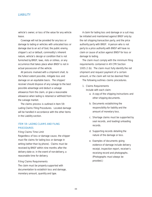<span id="page-51-0"></span>vehicle's owner, or loss of the value for any vehicle lease.

Coverage will not be provided for any loss or damage to lading or vehicles with unlocated loss or damage due to an act of God, the public enemy, shipper's act or default, commodity's inherent nature, vehicle's design or condition that is not furnished by BNSF, laws, riots or strikes, or any occurrence that takes place when BNSF is not in actual possession of the vehicle.

All persons involved with a shipment shall, to the fullest extent possible, mitigate loss and damage on an equitable basis. The shipper/ receiver should dispose of any salvage to the best possible advantage and deduct a salvage allowance from the claim, or give a reasonable allowance when lading is retained or withheld from the salvage market.

The claims process is outlined in Item 59: Lading Claims Filing Procedures. Located damage will be handled in accordance with the other items in the Liability section.

# ITEM 59: LADING CLAIMS AND FILING PROCEDURES

#### Filing Claims Time Limit

Regardless of loss or damage cause, the shipper must file claims for lading loss or damage in writing (rather than by phone). Claims must be received by BNSF within nine months after the delivery date or, in the event of non-delivery, a reasonable time for delivery.

### Filing Claims Requirements

The claim must be properly supported with documentation to establish loss and damage, monetary amount, quantity and type.

A claim for lading loss and damage or a suit may be initiated and maintained against BNSF only by the rail shipping transaction party, and the price authority party with BNSF. A person who is not party to a price authority with BNSF will have no claim or cause of action against BNSF for loss or damage to lading.

The claim must comply with the minimum filing requirements contained in 49 CFR Section 1005.2 (b). The claim must fully identify the rail shipment and request payment of a certain amount, or the claim will not be deemed filed.

The following outlines claims procedures.

### 1. Claims Requirements

Include with each claim:

- a. A copy of the shipping instructions and other shipping documents.
- b. Documents establishing the responsibility for liability and the amount of monetary loss.
- c. Shortage claims must be supported by seal records, and loading/unloading records.
- d. Supporting records detailing the nature of the damage or loss.
- e. Examples of documents giving evidence of damage include delivery receipt, inspection report, receiver's receiving record and photographs. (Photographs must always be provided.)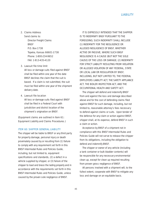## <span id="page-52-0"></span>2. Claims Address

Send claims to: Director Freight Claims **BNSF** P.O. Box 1738 Topeka, Kansas 66601-1738 Phone: 1-800-234-9652 FAX: 1-913-435-4120

### 3. Lawsuit file time limit

All loss or damage suits filed against BNSF shall be filed within one year of the date BNSF declines the claim that the suit is based. If a claim is not submitted, the suit must be filed within one year of the shipment delivery date.

# 4. Lawsuit file location

All loss or damage suits filed against BNSF shall be filed in a Federal Court with jurisdiction and district location of the shipment's origination on BNSF.

(Equipment claims are outlined in Item 61: Equipment Liability and Claims Procedures.)

#### ITEM 60: SHIPPER GENERAL LIABILITY

The shipper will be liable to BNSF or any third party for property damage, personal injury or death proximately caused by or resulting from (1) failure to comply with any requirement set forth in this *BNSF Intermodal Rules and Policies Guide*, including, but not limited to, equipment specifications and standards, (2) a defect in a vehicle supplied by shipper, or (3) failure of the shipper to load and brace the lading properly and in accordance with the requirements set forth in this *BNSF Intermodal Rules and Policies Guide*, unless caused by the proven sole negligence of BNSF.

IT IS EXPRESSLY INTENDED THAT THE SHIPPER IS TO INDEMNIFY BNSF PURSUANT TO THE FOREGOING; SUCH INDEMNITY SHALL INCLUDE (1) INDEMNITY FOR THE NEGLIGENCE OR ALLEGED NEGLIGENCE OF BNSF, WHETHER ACTIVE OR PASSIVE, WHERE SUCH BNSF NEGLIGENCE IS A CAUSE (BUT NOT THE SOLE CAUSE) OF THE LOSS OR DAMAGE; (2) INDEMNITY FOR STRICT LIABILITY RESULTING FROM VIOLATION OR ALLEGED VIOLATION OF ANY FEDERAL, STATE OR LOCAL LAW OR REGULATION BY BNSF, INCLUDING, BUT NOT LIMITED TO, THE FEDERAL EMPLOYERS LIABILITY ACT, THE SAFETY APPLIANCE ACT, THE BOILER INSPECTION ACT, AND THE OCCUPATIONAL HEALTH AND SAFETY ACT.

The shipper will defend and indemnify BNSF from and against the loss and damage described above and for the cost of defending claims filed against BNSF for such damage, including, but not limited to, reasonable attorney's fees necessary to defend against claims or suits. Upon tender of the defense for any claim or action against BNSF, shipper shall, at its expense, defend BNSF in such a claim or action.

Acceptance by BNSF of a shipment not in compliance with this *BNSF Intermodal Rules and Policies Guide* will not serve to release the shipper from its obligations, including the obligation to defend and indemnify BNSF.

The shipper or owner of any vehicle (including a tank container or bulk bladder contents) will be responsible for any necessary environmental clean up, except for clean up required resulting from proven gross negligence of BNSF.

All persons involved with a shipment will, to the fullest extent, cooperate with BNSF to mitigate any loss and damage on an equitable basis.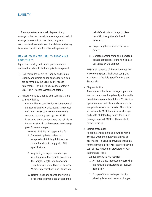<span id="page-53-0"></span>The shipper/receiver shall dispose of any salvage to the best possible advantage and deduct salvage proceeds from the claim, or give a reasonable allowance toward the claim when lading is retained or withheld from the salvage market.

# ITEM 61: EQUIPMENT LIABILITY AND CLAIMS **PROCEDURES**

Equipment liability and claims procedures are outlined for rail-controlled and private equipment.

1. Rail-controlled Vehicles Liability and Claims Liability and claims on rail-controlled vehicles are governed by the BNSF (UIIA) Access Agreement. For questions, please contact a BNSF (UIIA) Access Agreement holder.

### 2. Private Vehicles Liability and Damage Claims

a. *BNSF liability*

BNSF will be responsible for vehicle structural damage when BNSF or its agents are proven negligent. BNSF can, without the owner's consent, repair any damage that BNSF is responsible for, or terminate the vehicle to the owner at origin or the nearest interchange point for owner's repair.

However, BNSF is not responsible for:

- 1. Damage to private trailers not equipped with full length lift pads or those that do not comply with AAR specifications.
- 2. Any lading or equipment damage resulting from the vehicle exceeding the height, length, width or other specifications as outlined in Item 27: Vehicle Specifications and Standards.
- 3. Normal wear and tear to the vehicle or cosmetic damage not affecting the

vehicle's structural integrity. (See Item 39: Newly Manufactured Vehicles.)

- 4. Inspecting the vehicle for failure or defect.
- 5. Damages arising from loss, damage or consequential loss of the vehicle use sustained by the shipper.

BNSF's acceptance of the vehicle does not waive the shipper's liability for complying with Item 27: Vehicle Specifications and Standards.

b. *Shipper liability*

The shipper is liable for damages, personal injury or death resulting directly or indirectly from failure to comply with Item 27: Vehicle Specifications and Standards, or defects in a private vehicle or chassis. The shipper will indemnify BNSF from all loss, damage and costs of defending claims for loss or damages against BNSF as they relate to private vehicles.

c. *Claims procedures*

All claims should be filed in writing within 60 days when the equipment arrives at destination. If BNSF is proven responsible for the damage, BNSF will repair or bear the cost of repair based on provisions of AAR Interchange Rules.

All equipment claims require:

- 1. An interchange inspection report when the vehicle is delivered to or received from BNSF.
- 2. A copy of the actual repair invoice showing labor and material charges.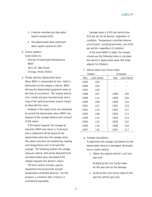- 3. A vehicle manufacture date when repairs exceed \$450.
- 4. The depreciated value statement when repairs exceed \$1,000.
- d. *Claims address*

Send claims to:

Director of Intermodal Maintenance **BNSF** 3611 W. 38th Street

Chicago, Illinois 60632

e. *Private vehicles depreciated value* When BNSF is responsible for loss, theft or destruction to the shipper's vehicle, BNSF will pay the depreciated equipment value at the time of occurrence. The original vehicle cost, month and year manufactured, and a copy of the vehicle purchase invoice should be filed with the claim.

However, if the repair costs are estimated to exceed the depreciated value, BNSF may dispose of the salvage without prior consent of the owner.

If the owner requests the salvage be returned, BNSF may return it, if practical, and a settlement will be based on the depreciated value less the salvage value. The owner assumes all conditioning, loading and transporting costs to forward the salvage. The following outlines the salvage value per vehicle, that will be deducted from any depreciated value calculated if the shipper requests the vehicle's return:

The term vehicle includes special equipment and accessories (except temperature controlled devices). For this purpose, a container with a chassis is considered separately.

Salvage value is \$300 per vehicle plus \$53 per tire for all devices, regardless of condition. Temperature controlled devices and all parts, including fuel tanks, are \$500 per vehicle, regardless of condition.

In the event BNSF is liable, the shipper should use the following index to calculate the vehicle's depreciated value (the index adjusts for inflation).

# f. *Vehicle Value Cost Factor Index*

|      | Trailers    |      | Container   |
|------|-------------|------|-------------|
| Year | Cost Factor | Year | Cost Factor |
| 1985 | 100         |      |             |
| 1986 | 105         |      |             |
| 1987 | 104         |      |             |
| 1988 | 107         | 1988 | 100         |
| 1989 | 112         | 1989 | 109         |
| 1990 | 108         | 1990 | 110         |
| 1991 | 121         | 1991 | 118         |
| 1992 | 110         | 1992 | 111         |
| 1993 | 108         | 1993 | 113         |
| 1994 | 114         | 1994 | 114         |
| 1995 | 119         | 1995 | 120         |
| 1996 | 116         | 1996 | 134         |
| 1997 | 116         | 1997 | 117         |

### g. *Salvage calculations*

To determine the salvage calculations for the depreciated value of a damaged, destroyed, lost or stolen vehicle:

1. Obtain the original vehicle's cost and year built.

Multiply by the Cost Factor Index for the year prior to the damage.

2. Divide by the Cost Factor Index for the year the vehicle was built.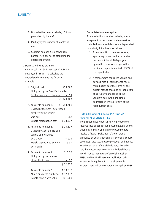- <span id="page-55-0"></span>3. Divide by the life of a vehicle, 120, as prescribed by the AAR.
- 4. Multiply by the number of months in use.
- 5. Subtract number 2.'s answer from number 4.'s answer to determine the depreciated value.
- h. *Depreciated value example* A trailer built in 1989 that cost \$13,360 was destroyed in 1998. To calculate the depreciated value, see the following example.
	- **1.** Original cost \$13,360 Multiplied by the Cost Factor Index for the year prior to damage  $x 116$ \$ 1,549,760
	- **2.** Answer to number 1. \$1,549,760 Divided by the Cost Factor Index for the year the vehicle was built  $/ 112$ Equals reproduction cost  $$ 13,837$ **3.** Answer to number 2. \$13,837 Divided by 120, the life of a vehicle as prescribed by the AAR  $\div$  120 Equals depreciated amount 115.30 per month **4.** Answer to number 3. 115.30 Multiplied by the number of months in use x 107 \$ 12,337 **5.** Answer to number 2. \$13,837 Minus answer to number 4. – \$ 12,337 Equals depreciated value \$1,500
- i. *Depreciated value exceptions* A new, rebuilt or stretched vehicle, special equipment, accessories or a temperature controlled vehicle and devices are depreciated on a straight line basis as follows.
	- 1. A new, rebuilt or stretched vehicle, special equipment and accessories are depreciated at 10% per year applied to the vehicle's age, with a maximum depreciation limit of 90% of the reproduction cost.
	- 2. A temperature controlled vehicle and devices with all components has a reproduction cost the same as the current market price and will depreciate at 10% per year applied to the vehicle's age, with a maximum depreciation limited to 95% of the reproduction cost.

# ITEM 62: FEDERAL EXCISE TAX AND TAX REFUND RESPONSIBILITIES

The shipper must request BNSF to produce the required loss or destruction documentation, so the shipper can file a claim with the government to receive a federal Excise Tax refund or credit allowance on such shipments as alcohol, alcoholic beverages, tobacco, tobacco products, or firearms. Whether or not a refund claim is actually filed or not, the amount equivalent to the Federal Excise Tax will not be made part of any claim against BNSF, and BNSF will have no liability for such amount or its equivalent. If the shipment is insured, there will be no subrogation against BNSF.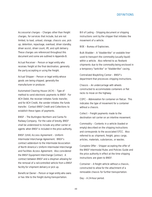<span id="page-56-0"></span>Accessorial charges – Charges other than freight charges, for services that include, but are not limited, to load, unload, storage, chassis use, pick up, detention, repackage, overload, driver standby, driver assist, driver count, lift, and split delivery. These charges are referenced throughout this document and some are outlined in Appendix B.

Actual Receiver – Person or legal entity who receives freight at the final destination, generally the party accepting or using the freight.

Actual Shipper - Person or legal entity whose goods are being shipped, generally the manufacturer or producer.

Automated Clearing House (ACH) – Type of method to send electronic payments to BNSF. For ACH Debit, the receiver initiates funds transfer, and for ACH Credit, the sender initiates the funds transfer. Contact BNSF Credit and Collections to establish these types of payments.

BNSF – The Burlington Northern and Santa Fe Railway Company. For the sake of brevity, BNSF shall be understood to include any other carrier or agents when BNSF is included in the price authority.

BNSF (UIIA) Access Agreement – Uniform Intermodal Interchange Agreement. BNSF's contract addendum to the Intermodal Association of North America's Uniform Intermodal Interchange and Facilities Access Agreement. Also considered the BNSF Equipment Interchange Contract. A contract between BNSF and a drayman allowing for the removal of a rail-controlled vehicle from a BNSF facility for shipment delivery or pick up.

Beneficial Owner – Person or legal entity who owns or has title to the freight during transportation.

Bill of Lading – Shipping document or shipping instructions sent by the shipper that initiates the movement of a vehicle.

BOE – Bureau of Explosives.

Bulk Bladder – A "bladder-like" or sealable liner used to transport the commodity (usually liquid) within a vehicle. Also referred to as flexitank shipments due to the commodity being enclosed in a temporary "tank-like" or "bladder-like" casing.

Centralized Waybilling Center – BNSF's department that processes shipping instructions.

Chassis – An undercarriage with wheels constructed to accommodate containers or flat racks to move on the highway.

COFC – Abbreviation for container on flatcar. This indicates the type of movement for a container without a chassis.

Collect – Freight payments made to the destination rail carrier on an interline movement.

Commodity – Contents in a vehicle (loaded or empty) described on the shipping instructions and corresponds to the associated STCC. Also referred to as shipment, freight, gross cargo, articles, materials, substances, or wastes.

Complete Offer – Shipper accepting the offer of the *BNSF Intermodal Rules and Policies Guide* and the price authority in effect at the time shipping instructions are given to BNSF.

Container – A freight vehicle without a chassis, constructed to allow for the attachment of a removable chassis for further transportation.

Day – A 24-hour period.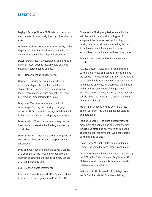Daylight Savings Time – BNSF railroad operations and charges observe daylight savings time when in effect.

Delivery - Deliver a vehicle to BNSF's facility or the shipper's facility. BNSF delivery is controlled by the service code on the shipping instructions.

Detention Charges – Compensation due a vehicle owner or lessor when its equipment is detained beyond an agreed period of time.

DOT – Department of Transportation.

**Drayage** – Trucking services intended for rail intermodal shipments to obtain or deliver shipments in instances such as cross-towns, trailer terminations, pick ups and deliveries, and IMX drayage. Also referred to as dray.

Drayman – The driver or owner of the truck company performing the trucking or drayage services. BNSF controlled drayage is determined by the service code on the shipping instructions.

Driver Assist – When the drayman is required to load, unload or assist in the loading or unloading of vehicles.

Driver Standby – When the drayman is required to wait with a vehicle at the actual origin or actual destination.

Drop and Pull – When a drayman leaves a vehicle at a shipper's facility to load or unload with the intention of obtaining the loaded or empty vehicle at a later scheduled time.

EDI – Electronic Data Interchange.

Electronic Funds Transfer (EFT) – Type of method to send electronic payments to BNSF. See ACH.

Equipment – All shipping devices stated in the vehicles definition, as well as all types of equipment that may be used for handling or moving intermodal shipments including, but not limited to railcars, lift equipment, scales, locomotives, tractor-trailers, and track structures.

**Exempt** – Not governed by federal regulatory boards.

Fax quarantees – A faxed letter quaranteeing payment of storage charges to BNSF at the time the vehicle is removed from a BNSF facility. It will be accepted only from the shipper or notify party and must be on company letterhead, signed by an authorized representative of the guarantor and indicate company name, address, phone number, vehicle initial and number, and applicable dates for storage charges.

Free Time – Amount of time before charges apply. Different free time applies for storage and detention.

Freight Charges – The price authority rate for movement of a vehicle and any other charges incurred as stated on an invoice or freight bill sent to shipper for payment. Also considered payments due to BNSF.

Gross Cargo Weight - Total weight of lading (cargo), including blocking, bracing and pallets.

Hazardous Commodities – Materials as defined by the DOT in the Code of Federal Regulations (49 CFR) as hazardous materials, hazardous wastes and hazardous substances.

Holidays – BNSF observed U.S. holidays: New Year's Day, Presidents' Day, Memorial Day,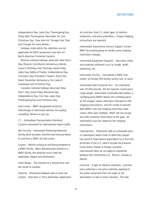Independence Day, Labor Day, Thanksgiving Day, Friday after Thanksgiving, December 24, and Christmas Day. (See Item 44: Storage Free Time and Charges for more details.)

Holidays listed within this definition are not applicable for NACS equipment (see Item 47: North American Container System).

Mexican national holidays observed: New Year's Day, Mexican Constitution Anniversary, Benito Juarez's Birthday, Holy Thursday, Good Friday, Labor Day, Battle of Puebla, Independence Day, Columbus Day, President's Report, Day of the Dead, Revolution Anniversary, Our Lady of Guadalupe and Christmas Day.

Canadian national holidays observed: New Year's Day, Good Friday, Memorial Day, Independence Day, Civic Day, Labor Day, Thanksgiving Day and Christmas Day.

Hub Center - BNSF designated facility for interchange of intermodal vehicles for loading, unloading, delivery or pick up.

I.T. – (Immediate Transportation Manifest) Customs document for international import traffic.

IMX Facility – Intermodal Marketing Extension facility which provides over-the-road transportation to and from a BNSF rail hub center.

In-gate – Vehicle arriving at and being tendered to a BNSF facility. When delivering the vehicle to a BNSF facility, the drayman must state the applicable shipper and destination.

Interchange - The transfer of a vehicle from one rail carrier to another.

Interline – Movement between two or more rail carriers. (See Item 3: Price Authorities Application for Joint-line, Rule 11, other types of interline shipments, and price authorities.) Proper shipping instructions are required.

Intermodal/Automotive Service Support Center – BNSF Accounting group to handle some shipping instruction changes.

Intermodal Equipment Register – Describes trailer and container attributes such as length, width, ownership, etc.

Intermodal Facility – Considered a BNSF hub center, rail facility, IMX facility, facility, hub, or ramp.

Intermodal Safe Container Act – For shipments over 29,000 pounds, the Act requires actual gross cargo weight, reasonable commodity description, a certifying party (BNSF deems the certifying party as the shipper unless otherwise indicated on the shipping instructions), and the certify or transfer date (BNSF uses the shipping instruction date unless other wise notified). BNSF will not accept any Safe Container information at the gate. All information must be stated on the shipping instructions.

International – Shipments with an immediate prior or subsequent water move or when the shipper has proof of importation/exportation to or from the territories of the U.S. (which include the Panama Canal Zone), Hawaii or foreign countries. International rates do not apply to shipments between the Continental U.S., Mexico, Canada or Alaska.

Joint-line – A type of interline shipment. Joint-line price authority is one price authority, applying to the entire movement from rail origin to rail destination on two or more railroads. The rate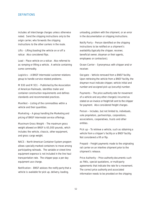includes all interchange charges unless otherwise noted. Send the shipping instructions only to the origin carrier, who forwards the shipping instructions to the other carriers in the route.

Lifts – Lifting (loading) the vehicle on or off a railcar. Also considered flips.

Load – Place vehicle on a railcar. Also referred to as ramping or lifting a vehicle. A vehicle containing some commodity.

Logistics – A BNSF Intermodal customer relations group to handle service related problems.

M 930 and M 931 – Published by the Association of American Railroads, identifies trailer and container construction requirements and defines standards and recommended practices.

Manifest – Listing of the commodities within a vehicle and their quantities.

Marketing – A group handling the Marketing and pricing of BNSF Intermodal service offerings.

Maximum Gross Weight - The maximum gross weight allowed on BNSF is 65,000 pounds, which includes the vehicle, chassis, other equipment, and gross cargo weight.

NACS – North American Container System program allows specially marked containers to move among participating railroads. The variable or street time equipment expense is not included in the line haul transportation rate. The shipper pays a per day equipment use charge.

Notification - BNSF advises the notify party that a vehicle is available for pick up, delivery, loading,

unloading, problem with the shipment, or an error in the documentation or shipping instructions.

Notify Party – Person identified on the shipping instructions to be notified on a shipment's availability (typically the shipper, receiver, beneficial owner, drayman or their agents, employees or contractors).

Ocean Carrier – Synonymous with shipper and/or receiver.

Out-gate – Vehicle removed from a BNSF facility. Upon retrieving the vehicle from a BNSF facility, the drayman must indicate shipper, vehicle initial and number and assigned pick up (security) number.

Payments - The price authority rate for movement of a vehicle and any other charge(s) incurred as stated on an invoice or freight bill sent to the shipper for payment. Also considered freight charges.

Person – Includes, but not limited to, individuals, sole proprietors, partnerships, corporations, associations, cooperatives, trusts and other entities.

Pick up – To retrieve a vehicle, such as obtaining a vehicle from a shipper's facility or a BNSF facility. Not considered a lift or flip.

Prepaid – Freight payments made to the originating rail carrier on an interline shipment prior to the shipment's release.

Price Authority – Price authority documents such as FAKs, special quotations, or multi-party agreements that indicate the rate for a movement. The correct price authority and associated information needs to be provided on the shipping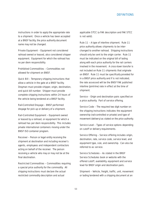instructions in order to apply the appropriate rate to a shipment. Once a vehicle has been accepted at a BNSF facility, the price authority document name may not be changed.

Private Equipment – Equipment not considered railroad owned or leased, also considered shipper equipment. Equipment for which the railroad has no per diem responsibility.

Prohibited Commodities – Commodities not allowed for shipment on BNSF.

Quick Bill – Temporary shipping instructions that allow a vehicle in the gate at a BNSF facility. Drayman must provide shipper, origin, destination, and quick bill number. Shipper must provide complete shipping instructions within 24 hours of the vehicle being tendered at a BNSF facility.

Rail-Controlled Drayage – BNSF performed drayage for pick up or delivery of a shipment.

Rail-Controlled Equipment – Equipment owned or leased by a railroad, or equipment for which a railroad has per diem responsibility. This includes private international containers moving under the BNSF ISO container program.

Receiver – Person or legal entity receiving the shipment at destination and including receiver's agents, employees and independent contractors acting on behalf of the receiver. The person receiving a vehicle who may or may not be at the final destination.

Restricted Commodities – Commodities requiring a special price authority for the commodity. All shipping instructions must declare the actual restricted commodity description and actual

applicable STCC (a FAK description and FAK STCC is not valid).

Rule 11 – A type of interline shipment. Rule 11 price authority allows shipments to be interchanged to another railroad. Shipping instructions should only be sent to the origin carrier. Rule 11 must be indicated on the original bill of lading along with each price authority for the rail carriers involved in the movement. A cross-town transfer is not included on Rule 11 shipments that originate on BNSF. Rule 11 must be specifically provided for in a BNSF price authority and if is not indicated, the rate assessed will be the BNSF FAK published interline (joint-line) rate in effect at the time of shipment.

Service – Origin and destination pairs specified on a price authority. Part of service offering.

Service Code - The required two digit number on the shipping instructions indicates the equipment ownership (rail-controlled or private) and type of movement (delivery) as stated on the price authority.

Service Level – Types of service options depending on cutoff or delivery requirements.

Service Offering – Service offering includes origin, destination, rate, service code, service level, and equipment type, size, and ownership. Can also be referred to as service.

Service Schedules – As stated in the BNSF Service Schedules book or website with the offered cutoff, availability, equipment and service level for BNSF origin and destination pairs.

Shipment – Vehicle, freight, traffic, unit, movement or lading tendered with a shipping document at an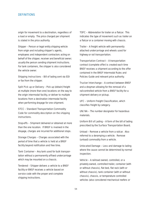origin for movement to a destination, regardless of a load or empty. The price charged per shipment is stated in the price authority.

Shipper - Person or legal entity shipping vehicle from origin and including shipper's agents, employees and independent contractors acting on behalf of the shipper, receiver and beneficial owner; usually the person sending shipment instructions. For tank containers, the shipper is also considered the vehicle owner.

Shipping Instructions – Bill of lading sent via EDI or fax from the shipper.

Split Pick up or Delivery - Pick up (obtain) freight at multiple (more than one) locations on the way to the origin intermodal facility, or deliver to multiple locations from a destination intermodal facility when performing drayage for one shipment.

STCC – Standard Transportation Commodity Code for commodity description on the shipping instructions.

Stop-offs - Shipment delivered or obtained at more than the one location. If BNSF is involved in the drayage, charges are incurred for additional stops.

Storage Charges – Charges associated with the period of time that a vehicle is held at a BNSF facility beyond notification and free time.

Tank Container – Any tank used for bulk transportation without a permanently affixed undercarriage which may be mounted on a chassis.

Tendered – Shipper delivers a vehicle to a BNSF facility or BNSF receives a vehicle based on service code with the proper and complete shipping instructions.

TOFC – Abbreviation for trailer on a flatcar. This indicates the type of movement such as trailer on a flatcar or a container moving with chassis.

Trailer – A freight vehicle with permanently attached undercarriage and wheels used for highway or rail transportation.

Transportation Contract – A transportation contract (complete offer) is created each time BNSF receives a shipment according to the offer contained in the *BNSF Intermodal Rules and Policies Guide* and relevant price authority.

Trucker Interchange – A contract between BNSF and a drayman allowing for the removal of a rail-controlled vehicle from a BNSF facility for a shipment delivery or pickup.

UFC – Uniform Freight Classification, which classifies freight by category.

UN/NA – The number designator for hazardous materials.

Uniform Bill of Lading - A form of the bill of lading prescribed by the Surface Transportation Board.

Unload – Remove a vehicle from a railcar. Also referred to a deramping a vehicle. Remove (unload) commodity from a vehicle.

Unlocated Damage – Loss and damage to lading where the cause cannot be determined by normal inspection.

Vehicle – A railroad owned, controlled, or a privately owned, controlled trailer, container (with or without chassis), flat bed, flat rack (with or without chassis), tank container (with or without chassis), chassis, or temperature controlled vehicles (also considered mechanical reefers or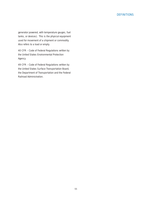generator powered, with temperature gauges, fuel tanks, or devices). This is the physical equipment used for movement of a shipment or commodity. Also refers to a load or empty.

40 CFR – Code of Federal Regulations written by the United States Environmental Protection Agency.

49 CFR – Code of Federal Regulations written by the United States Surface Transportation Board, the Department of Transportation and the Federal Railroad Administration.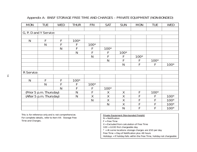# Appendix A: BNSF STORAGE FREE TIME AND CHARGES – PRIVATE EQUIPMENT (NON-BONDED)

<span id="page-63-0"></span>

| <b>MON</b>              | <b>TUE</b>             | <b>WED</b>   | <b>THUR</b>  | <b>FRI</b>   | <b>SAT</b>   | <b>SUN</b>   | <b>MON</b> | <b>TUE</b> | <b>WED</b> |  |  |
|-------------------------|------------------------|--------------|--------------|--------------|--------------|--------------|------------|------------|------------|--|--|
|                         |                        |              |              |              |              |              |            |            |            |  |  |
|                         | G, P, D and Y Service: |              |              |              |              |              |            |            |            |  |  |
|                         |                        |              |              |              |              |              |            |            |            |  |  |
| $\mathsf{N}$            | F                      | F            | $100*$       |              |              |              |            |            |            |  |  |
|                         | $\mathsf{N}$           | F            | F            | $100*$       |              |              |            |            |            |  |  |
|                         |                        | $\mathsf{N}$ | F            |              | $100*$       |              |            |            |            |  |  |
|                         |                        |              | N            | F            | F            | $100*$       |            |            |            |  |  |
|                         |                        |              |              | $\mathsf{N}$ | F            | F            | $100*$     |            |            |  |  |
|                         |                        |              |              |              | $\mathsf{N}$ | F            | F          | $100*$     |            |  |  |
|                         |                        |              |              |              |              | $\mathsf{N}$ | F          | F          | $100*$     |  |  |
|                         |                        |              |              |              |              |              |            |            |            |  |  |
| R Service:              |                        |              |              |              |              |              |            |            |            |  |  |
|                         |                        |              |              |              |              |              |            |            |            |  |  |
| $\mathsf{N}$            | F                      | F            | $100*$       |              |              |              |            |            |            |  |  |
|                         | $\mathsf{N}$           | F            | F            | $100*$       |              |              |            |            |            |  |  |
|                         |                        | $\mathsf{N}$ | F            | F            | $100*$       |              |            |            |            |  |  |
| (Prior 5 p.m. Thursday) |                        |              | $\mathsf{N}$ | Ē            | X            | $\sf X$      | F          | $100*$     |            |  |  |
| (After 5 p.m. Thursday) |                        |              | N            | $\mathsf X$  | $\chi$       | X            | F          | F          | $100*$     |  |  |
|                         |                        |              |              | $\mathsf{N}$ | $\sf X$      | $\sf X$      | F          | F          | $100*$     |  |  |
|                         |                        |              |              |              | $\mathsf{N}$ | X            | F          | F          | $100*$     |  |  |
|                         |                        |              |              |              |              | $\mathsf{N}$ | F          | F          | $100*$     |  |  |

*This is for reference only and is not comprehensive. For complete details, refer to Item 44: Storage Free Time and Charges.*

Private Equipment (Non-bonded Freight)

 $N =$  Notification

 $F = Free Time$ 

X = Excluded from calculation of Free Time

100 = \$100 first chargeable day

 $*$  = At some locations storage charges are \$50 per day

Free Time = Day of Notification plus 48 hours

Holidays = If holiday falls within the Free Time, holiday not chargeable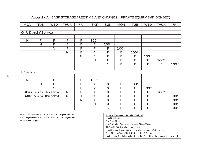# Appendix A: BNSF STORAGE FREE TIME AND CHARGES – PRIVATE EQUIPMENT (BONDED)

| <b>MON</b>                          | <b>TUE</b>              | <b>WED</b>   | <b>THUR</b>  | <b>FRI</b>   | <b>SAT</b>   | <b>SUN</b>   | <b>MON</b> | <b>TUE</b> | <b>WED</b> | <b>THUR</b> | <b>FRI</b> |
|-------------------------------------|-------------------------|--------------|--------------|--------------|--------------|--------------|------------|------------|------------|-------------|------------|
|                                     |                         |              |              |              |              |              |            |            |            |             |            |
| $\overline{G, P, D}$ and Y Service: |                         |              |              |              |              |              |            |            |            |             |            |
|                                     |                         |              |              |              |              |              |            |            |            |             |            |
| $\mathsf{N}$                        | F                       | F            | F            | F            | $100*$       |              |            |            |            |             |            |
|                                     | N                       | F            | F            | F            | F            | $100*$       |            |            |            |             |            |
|                                     |                         | $\mathsf{N}$ | F            | F            | F            | F            | $100*$     |            |            |             |            |
|                                     |                         |              | N            | F            | F            | F            | F          | $100*$     |            |             |            |
|                                     |                         |              |              | $\mathsf{N}$ | F            | F            | F          | F          | $100*$     |             |            |
|                                     |                         |              |              |              | $\mathsf{N}$ | F            | F          | F          | F          | $100*$      |            |
|                                     |                         |              |              |              |              | $\mathsf{N}$ | F          | F          | F          | F           | $100*$     |
|                                     |                         |              |              |              |              |              |            |            |            |             |            |
| R Service:                          |                         |              |              |              |              |              |            |            |            |             |            |
|                                     |                         |              |              |              |              |              |            |            |            |             |            |
| $\mathsf{N}$                        | F                       | F            | F            | F            | $100*$       |              |            |            |            |             |            |
|                                     | $\mathsf{N}$            | F            | F            | F            | $\chi$       | $\chi$       | F          | $100*$     |            |             |            |
|                                     |                         | N            | F            | F            | $\chi$       | X            | F          | F          | $100*$     |             |            |
|                                     | (Prior 5 p.m. Thursday) |              | $\mathsf{N}$ | F            | Χ            | Χ            |            | F          | F          | $100*$      |            |
|                                     | (After 5 p.m. Thursday) |              | $\mathsf{N}$ | $\sf X$      | $\sf X$      | $\sf X$      | F          | F          | F          | F           | $100*$     |
|                                     |                         |              |              | $\mathsf{N}$ | $\chi$       | X            | F          | F          | F          | F           | $100*$     |
|                                     |                         |              |              |              | $\mathsf{N}$ | Χ            | F          | F          | F          |             | $100*$     |
|                                     |                         |              |              |              |              | $\mathsf{N}$ | F          | F          | F          | F           | $100*$     |

*This is for reference only and is not comprehensive. For complete details, refer to Item 44: Storage Free Time and Charges.*

# Private Equipment (Bonded Freight)

 $N =$  Notification

 $F = Free Time$ 

X = Excluded from calculation of Free Time

100 = \$100 first chargeable day

 $*$  = At some locations storage charges are \$50 per day

Free Time = Day of Notification plus 96 hours

Holidays = If holiday falls within the Free Time, holiday not chargeable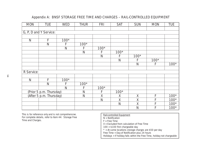# Appendix A: BNSF STORAGE FREE TIME AND CHARGES – RAIL-CONTROLLED EQUIPMENT

| <b>MON</b>   | <b>TUE</b>              | <b>WED</b>   | <b>THUR</b>  | <b>FRI</b>   | <b>SAT</b>   | <b>SUN</b>   | <b>MON</b> | <b>TUE</b> |
|--------------|-------------------------|--------------|--------------|--------------|--------------|--------------|------------|------------|
|              |                         |              |              |              |              |              |            |            |
|              | G, P, D and Y Service:  |              |              |              |              |              |            |            |
|              |                         |              |              |              |              |              |            |            |
| $\mathsf{N}$ | $\mathsf F$             | $100*$       |              |              |              |              |            |            |
|              | $\mathsf{N}$            | F            | $100*$       |              |              |              |            |            |
|              |                         | $\mathsf{N}$ | F            | $100*$       |              |              |            |            |
|              |                         |              | $\mathsf{N}$ | F            | $100*$       |              |            |            |
|              |                         |              |              | $\mathsf{N}$ | F            | $100*$       |            |            |
|              |                         |              |              |              | $\mathsf{N}$ | F            | $100*$     |            |
|              |                         |              |              |              |              | $\mathsf{N}$ | F          | $100*$     |
|              |                         |              |              |              |              |              |            |            |
| R Service:   |                         |              |              |              |              |              |            |            |
|              |                         |              |              |              |              |              |            |            |
| $\mathsf{N}$ | F                       | $100*$       |              |              |              |              |            |            |
|              | $\mathsf{N}$            | F            | $100*$       |              |              |              |            |            |
|              |                         | $\mathsf{N}$ | F            | $100*$       |              |              |            |            |
|              | (Prior 5 p.m. Thursday) |              | $\mathsf{N}$ | F            | $100*$       |              |            |            |
|              | (After 5 p.m. Thursday) |              | $\mathsf{N}$ | $\sf X$      | $\chi$       | X            | F          | $100*$     |
|              |                         |              |              | $\mathsf{N}$ | $\sf X$      | $\chi$       | F          | $100*$     |
|              |                         |              |              |              | $\mathsf{N}$ | $\chi$       | F          | $100*$     |
|              |                         |              |              |              |              | $\mathsf{N}$ | F          | $100*$     |

*This is for reference only and is not comprehensive. For complete details, refer to Item 44: Storage Free Time and Charges.*

# Rail-controlled Equipment

- N = Notification
- $F$  = Free Time
- $X =$  Excluded from calculation of Free Time
- 100 = \$100 first chargeable day
- $*$  = At some locations storage charges are \$50 per day
- Free Time = Day of Notification plus 24 hours
- Holidays = If holiday falls within the Free Time, holiday not chargeable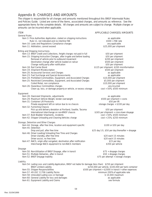# <span id="page-66-0"></span>Appendix B: CHARGES AND AMOUNTS

The shipper is responsible for all charges and amounts mentioned throughout this *BNSF Intermodal Rules and Policies Guide.* Listed are some of the Items, associated charges, and amounts as reference. See the appropriate Items for the complete details. All charges and amounts are subject to change. Multiple charges or amounts can be incurred when applicable.

| <b>ITEM</b>                                                                                     |                                                                                                           | <b>APPLICABLE CHARGES/AMOUNTS</b>                       |
|-------------------------------------------------------------------------------------------------|-----------------------------------------------------------------------------------------------------------|---------------------------------------------------------|
| <b>General Rules</b>                                                                            |                                                                                                           |                                                         |
|                                                                                                 | Item 3: Price Authorities Application, stated on shipping instructions                                    | as applicable                                           |
| Rule 11, not indicated and no interline FAK                                                     |                                                                                                           | $$500 + FAK$ rate                                       |
| Item 10: Laws and Regulations Compliance charges                                                |                                                                                                           | any applicable                                          |
| Item 11: Arbitration, cannot exceed                                                             |                                                                                                           | \$25,000 per shipment                                   |
| <b>Billing and Shipping Instructions</b>                                                        |                                                                                                           |                                                         |
|                                                                                                 | Item 13: BNSF Credit and Collections, freight charges not paid in full                                    | \$50 per shipment                                       |
|                                                                                                 | Item 15: Shipping Instruction Changes, after in-gate and before loading                                   | \$50 per shipment                                       |
| Removal of vehicle prior to outbound movement                                                   |                                                                                                           | \$200 per shipment                                      |
|                                                                                                 | Destination change after vehicle loaded on railcar                                                        | \$500 per shipment                                      |
| Change notify party after notification                                                          |                                                                                                           | \$50 per shipment                                       |
| Item 18: Rail Carrier Bond                                                                      |                                                                                                           | \$125 per shipment, \$200 misinformation                |
| Item 19: Shipment Misdescription                                                                |                                                                                                           | \$500 per shipment                                      |
| Item 20: Accessorial Services and Charges                                                       |                                                                                                           | as applicable                                           |
| Item 23: Fuel Surcharge and Special Assessments                                                 | Item 24: Prohibited Commodities, Equipment, and Associated Charges                                        | as applicable<br>\$10,000 per shipment                  |
|                                                                                                 | Item 25: Restricted Commodities, Equipment, and Associated Charges                                        | \$5,000 per shipment                                    |
| Coiled Metal, non compliance                                                                    |                                                                                                           | \$10,000 per shipment                                   |
| Item 26: Hazardous Commodities charges                                                          |                                                                                                           | any incurred                                            |
|                                                                                                 | Clean up, loss, or damage property or vehicle, or excess storage                                          | cost + 50%, \$500 minimum                               |
|                                                                                                 |                                                                                                           |                                                         |
| Equipment                                                                                       |                                                                                                           |                                                         |
| Item 28: Oversized Shipments, adjustments<br>Item 29: Maximum Vehicle Weight, tender overweight |                                                                                                           | as applicable<br>\$500 per shipment + costs             |
| Item 31: Container Lift Provisions                                                              |                                                                                                           | \$50 per lift                                           |
|                                                                                                 | Private equipment left on railcar due to no chassis                                                       | storage charges + \$100 per day                         |
| Item 32: Furnishing Chassis                                                                     |                                                                                                           |                                                         |
|                                                                                                 | Pick up and delivery deviation at Portland, Seattle, Tacoma                                               | \$50 per shipment                                       |
| International interchange on non-BNSF chassis                                                   |                                                                                                           | \$165 per shipment + cross-town drayage                 |
| Item 37: Bulk Bladder Shipments, incidents                                                      |                                                                                                           | cost + 50%, \$500 minimum                               |
| Item 42: Shipper Unloading and Cleaning Vehicles charge                                         |                                                                                                           | cost + 25%, \$250 minimum                               |
| Storage, Detention and Other Charges                                                            |                                                                                                           |                                                         |
| Item 44: Storage, after free time, location and equipment specific                              |                                                                                                           | \$100 or \$50 per day                                   |
| Item 45: Detention                                                                              |                                                                                                           |                                                         |
| Drop and pull, after free time                                                                  |                                                                                                           | \$25 day 1-5, \$50 per day thereafter + drayage         |
| Item 46: Driver Loading/Unloading Free Time and Charges                                         |                                                                                                           |                                                         |
| Driver standby, after free time                                                                 |                                                                                                           | \$20 each 15 minutes                                    |
| Driver assist, no free time                                                                     |                                                                                                           | \$20 each 15 minutes                                    |
| Item 47: NACS, origin after out-gated, destination after notification                           |                                                                                                           | \$15 per day                                            |
|                                                                                                 | Interchange NACS equipment to non-NACS members                                                            | \$350 per vehicle                                       |
| <b>Drayage</b>                                                                                  |                                                                                                           |                                                         |
| Item 50: Non-Utilization of BNSF Drayage, after in transit                                      |                                                                                                           | \$75 + drayage charges                                  |
| Item 51: Multiple Deliveries, after in transit                                                  |                                                                                                           | \$50 + drayage charges                                  |
| Item 52: BNSF Drayage Inability                                                                 |                                                                                                           | \$75 per attempt + storage charges                      |
| Liability                                                                                       |                                                                                                           |                                                         |
|                                                                                                 | Item 54: Lading Loss and Liability Application, BNSF not liable for damage (less than) \$250 per shipment |                                                         |
| <b>BNSF Limited Liability</b>                                                                   |                                                                                                           | \$250,000 per vehicle, \$100,000 per tank container     |
| Item 55: Shipper Responsibilities                                                               |                                                                                                           | \$500 per shipment + \$2000 in transit + other expenses |
| Item 57: 49 USC 11706 Liability Terms                                                           |                                                                                                           | minimum 200% of applicable rate                         |
| Item 58: Unlocated Lading Loss or Damage                                                        |                                                                                                           | \$10,000 maximum                                        |
| Item 60: General Liability for loss and damages                                                 |                                                                                                           | as applicable                                           |
| Item 61: Equipment Liability and Claims                                                         |                                                                                                           | see formula                                             |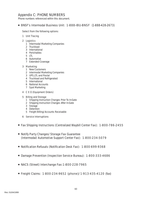# <span id="page-67-0"></span>Appendix C: PHONE NUMBERS

Phone numbers referenced within this document.

■ BNSF's Intermodal Business Unit: 1-888-IBU-BNSF (1-888-428-2673)

# Select from the following options:

Unit Tracing

# Logistics

- Intermodal Marketing Companies
- Truckload
- International
- Perishables
- 5 LTL
- Automotive
- Extended Coverage

# Marketing

- New Customers
- Intermodal Marketing Companies
- UPS,LTL and Postal
- Truckload and Refrigerated
- International
- National Accounts
- Spot Marketing

# C E O (Equipment Orders)

## Billing and Storage

- Shipping Instruction Changes Prior To In-Gate
- Shipping Instruction Changes After In-Gate
- Storage
- Detention
- Freight Billing/Accounts Receivable
- Service Interruptions
- Fax Shipping Instructions (Centralized Waybill Center Fax): 1-800-786-2455
- Notify Party Changes/Storage Fax Guarantee (Intermodal/Automotive Support Center Fax): 1-800-234-5079
- Notification Refusals (Notification Desk Fax): 1-800-699-9368
- Damage Prevention (Inspection Service Bureau): 1-800-333-4686
- NACS (Street) Interchange Fax: 1-800-228-7965
- Freight Claims: 1-800-234-9652 (phone)/1-913-435-4120 (fax)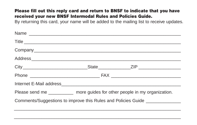#### **Please fill out this reply card and return to BNSF to indicate that you have received your new BNSF Intermodal Rules and Policies Guide.**

By returning this card, your name will be added to the mailing list to receive updates.

|  | Please send me ____________ more guides for other people in my organization.    |
|--|---------------------------------------------------------------------------------|
|  | Comments/Suggestions to improve this Rules and Policies Guide _________________ |
|  |                                                                                 |

 $\overline{a}$  , and the state of the state of the state of the state of the state of the state of the state of the state of the state of the state of the state of the state of the state of the state of the state of the state o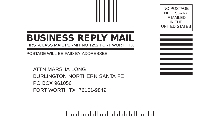# **BUSINESS REPLY MAIL**

FIRST-CLASS MAIL PERMIT NO 1252 FORT WORTH TX

POSTAGE WILL BE PAID BY ADDRESSEE

ATTN MARSHA LONG BURLINGTON NORTHERN SANTA FE PO BOX 961056 FORT WORTH TX 76161-9849

الملتانات الملتيان لتان بتنا المتماليات بالتابينا

NO POSTAGE **NECESSARY** IF MAILED IN THE UNITED STATES